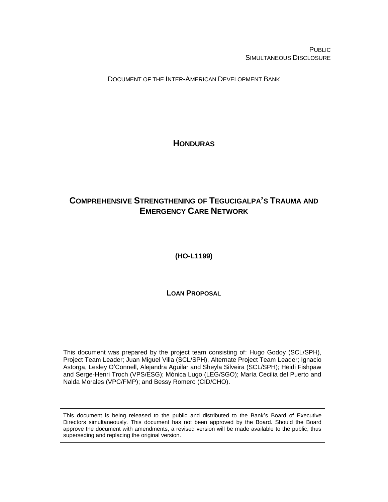PUBLIC SIMULTANEOUS DISCLOSURE

DOCUMENT OF THE INTER-AMERICAN DEVELOPMENT BANK

<span id="page-0-0"></span>**HONDURAS**

# <span id="page-0-1"></span>**COMPREHENSIVE STRENGTHENING OF TEGUCIGALPA'S TRAUMA AND EMERGENCY CARE NETWORK**

<span id="page-0-2"></span>**(HO-L1199)**

**LOAN PROPOSAL**

This document was prepared by the project team consisting of: Hugo Godoy (SCL/SPH), Project Team Leader; Juan Miguel Villa (SCL/SPH), Alternate Project Team Leader; Ignacio Astorga, Lesley O'Connell, Alejandra Aguilar and Sheyla Silveira (SCL/SPH); Heidi Fishpaw and Serge-Henri Troch (VPS/ESG); Mónica Lugo (LEG/SGO); María Cecilia del Puerto and Nalda Morales (VPC/FMP); and Bessy Romero (CID/CHO).

This document is being released to the public and distributed to the Bank's Board of Executive Directors simultaneously. This document has not been approved by the Board. Should the Board approve the document with amendments, a revised version will be made available to the public, thus superseding and replacing the original version.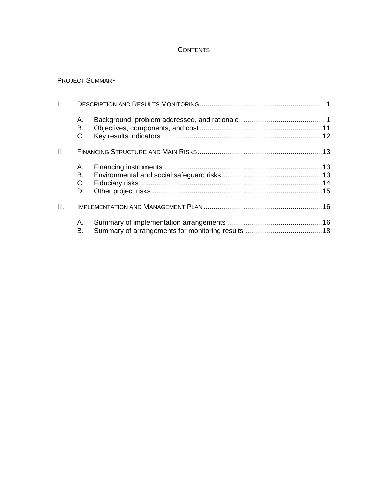## **CONTENTS**

## PROJECT SUMMARY

| $\mathbf{L}$ |                      |  |  |  |  |  |  |
|--------------|----------------------|--|--|--|--|--|--|
|              | А.<br>В.<br>C.       |  |  |  |  |  |  |
| Ш.           |                      |  |  |  |  |  |  |
|              | А.<br>В.<br>C.<br>D. |  |  |  |  |  |  |
| III.         |                      |  |  |  |  |  |  |
|              | А.<br>В.             |  |  |  |  |  |  |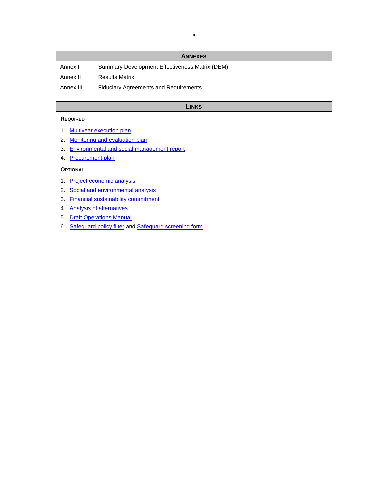|           | <b>ANNEXES</b>                                 |
|-----------|------------------------------------------------|
| Annex I   | Summary Development Effectiveness Matrix (DEM) |
| Annex II  | <b>Results Matrix</b>                          |
| Annex III | <b>Fiduciary Agreements and Requirements</b>   |

#### **LINKS**

#### **REQUIRED**

- 1. [Multiyear execution plan](http://idbdocs.iadb.org/wsdocs/getDocument.aspx?DOCNUM=EZSHARE-527553098-48)
- 2. [Monitoring and evaluation](http://idbdocs.iadb.org/wsdocs/getDocument.aspx?DOCNUM=EZSHARE-527553098-45) plan
- 3. [Environmental and social management report](http://idbdocs.iadb.org/wsdocs/getDocument.aspx?DOCNUM=EZSHARE-527553098-52)
- 4. [Procurement plan](http://idbdocs.iadb.org/wsdocs/getDocument.aspx?DOCNUM=EZSHARE-527553098-42)

#### **OPTIONAL**

- 1. [Project economic analysis](http://idbdocs.iadb.org/wsdocs/getDocument.aspx?DOCNUM=EZSHARE-527553098-43)
- 2. [Social and environmental analysis](http://idbdocs.iadb.org/wsdocs/getDocument.aspx?DOCNUM=EZSHARE-2085625919-14)
- 3. [Financial sustainability commitment](http://idbdocs.iadb.org/wsdocs/getDocument.aspx?DOCNUM=EZSHARE-527553098-46)
- 4. [Analysis of alternatives](http://idbdocs.iadb.org/wsdocs/getDocument.aspx?DOCNUM=EZSHARE-527553098-55)
- 5. Draft [Operations Manual](http://idbdocs.iadb.org/wsdocs/getDocument.aspx?DOCNUM=EZSHARE-527553098-63)
- 6. [Safeguard policy filter](http://idbdocs.iadb.org/wsdocs/getDocument.aspx?DOCNUM=EZSHARE-2085625919-12) and [Safeguard screening form](http://idbdocs.iadb.org/wsdocs/getDocument.aspx?DOCNUM=EZSHARE-2085625919-13)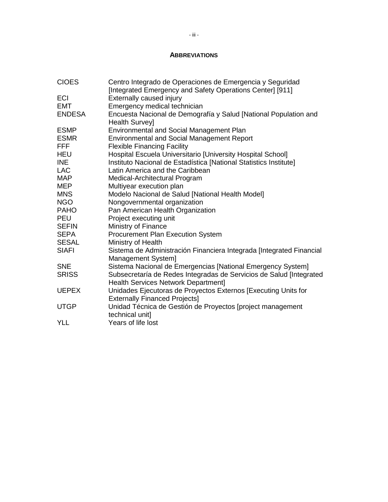## **ABBREVIATIONS**

| <b>CIOES</b>  | Centro Integrado de Operaciones de Emergencia y Seguridad<br>[Integrated Emergency and Safety Operations Center] [911] |
|---------------|------------------------------------------------------------------------------------------------------------------------|
| ECI           | Externally caused injury                                                                                               |
| <b>EMT</b>    | Emergency medical technician                                                                                           |
| <b>ENDESA</b> | Encuesta Nacional de Demografía y Salud [National Population and<br><b>Health Survey]</b>                              |
| <b>ESMP</b>   | Environmental and Social Management Plan                                                                               |
| <b>ESMR</b>   | <b>Environmental and Social Management Report</b>                                                                      |
| <b>FFF</b>    | <b>Flexible Financing Facility</b>                                                                                     |
| <b>HEU</b>    | Hospital Escuela Universitario [University Hospital School]                                                            |
| INE           | Instituto Nacional de Estadística [National Statistics Institute]                                                      |
| LAC           | Latin America and the Caribbean                                                                                        |
| <b>MAP</b>    | Medical-Architectural Program                                                                                          |
| <b>MEP</b>    | Multiyear execution plan                                                                                               |
| <b>MNS</b>    | Modelo Nacional de Salud [National Health Model]                                                                       |
| <b>NGO</b>    | Nongovernmental organization                                                                                           |
| <b>PAHO</b>   | Pan American Health Organization                                                                                       |
| <b>PEU</b>    | Project executing unit                                                                                                 |
| <b>SEFIN</b>  | Ministry of Finance                                                                                                    |
| <b>SEPA</b>   | Procurement Plan Execution System                                                                                      |
| <b>SESAL</b>  | Ministry of Health                                                                                                     |
| <b>SIAFI</b>  | Sistema de Administración Financiera Integrada [Integrated Financial<br>Management System]                             |
| <b>SNE</b>    | Sistema Nacional de Emergencias [National Emergency System]                                                            |
| <b>SRISS</b>  | Subsecretaría de Redes Integradas de Servicios de Salud [Integrated<br>Health Services Network Department]             |
| <b>UEPEX</b>  | Unidades Ejecutoras de Proyectos Externos [Executing Units for<br><b>Externally Financed Projects]</b>                 |
| <b>UTGP</b>   | Unidad Técnica de Gestión de Proyectos [project management<br>technical unit]                                          |
| <b>YLL</b>    | Years of life lost                                                                                                     |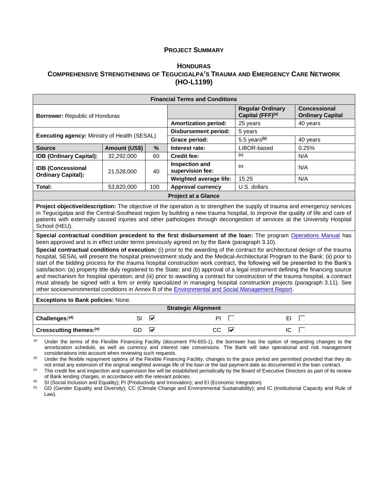#### **PROJECT SUMMARY**

### **H[ONDURAS](#page-0-0) COMPREHENSIVE S[TRENGTHENING OF](#page-0-1) TEGUCIGALPA'S TRAUMA AND EMERGENCY CARE NETWORK [\(HO-L1199\)](#page-0-2)**

| <b>Financial Terms and Conditions</b>               |               |      |                                    |                                             |                                                |  |  |  |
|-----------------------------------------------------|---------------|------|------------------------------------|---------------------------------------------|------------------------------------------------|--|--|--|
| <b>Borrower: Republic of Honduras</b>               |               |      |                                    | <b>Regular Ordinary</b><br>Capital (FFF)(a) | <b>Concessional</b><br><b>Ordinary Capital</b> |  |  |  |
|                                                     |               |      | <b>Amortization period:</b>        | 25 years                                    | 40 years                                       |  |  |  |
|                                                     |               |      | <b>Disbursement period:</b>        | 5 years                                     |                                                |  |  |  |
| <b>Executing agency: Ministry of Health (SESAL)</b> |               |      | Grace period:                      | 5.5 years <sup>(b)</sup>                    | 40 years                                       |  |  |  |
| <b>Source</b>                                       | Amount (US\$) | $\%$ | Interest rate:                     | LIBOR-based                                 | 0.25%                                          |  |  |  |
| <b>IDB (Ordinary Capital):</b>                      | 32.292.000    | 60   | <b>Credit fee:</b>                 | (c)                                         | N/A                                            |  |  |  |
| <b>IDB (Concessional</b>                            | 21.528.000    | 40   | Inspection and<br>supervision fee: | (c)                                         | N/A                                            |  |  |  |
| <b>Ordinary Capital):</b>                           |               |      | Weighted average life:             | 15.25                                       | N/A                                            |  |  |  |
| Total:<br>100<br>53,820,000                         |               |      | <b>Approval currency</b>           | U.S. dollars                                |                                                |  |  |  |
| <b>Project at a Glance</b>                          |               |      |                                    |                                             |                                                |  |  |  |

**Project objective/description:** The objective of the operation is to strengthen the supply of trauma and emergency services in Tegucigalpa and the Central-Southeast region by building a new trauma hospital, to improve the quality of life and care of patients with externally caused injuries and other pathologies through decongestion of services at the University Hospital School (HEU).

**Special contractual condition precedent to the first disbursement of the loan:** The program [Operations Manual](http://idbdocs.iadb.org/wsdocs/getDocument.aspx?DOCNUM=EZSHARE-527553098-63) has been approved and is in effect under terms previously agreed on by the Bank (paragraph 3.10).

**Special contractual conditions of execution:** (i) prior to the awarding of the contract for architectural design of the trauma hospital, SESAL will present the hospital preinvestment study and the Medical-Architectural Program to the Bank; (ii) prior to start of the bidding process for the trauma hospital construction work contract, the following will be presented to the Bank's satisfaction: (a) property title duly registered to the State; and (b) approval of a legal instrument defining the financing source and mechanism for hospital operation; and (iii) prior to awarding a contract for construction of the trauma hospital, a contract must already be signed with a firm or entity specialized in managing hospital construction projects (paragraph 3.11). See other socioenvironmental conditions in Annex B of the [Environmental and Social Management Report.](http://idbdocs.iadb.org/wsdocs/getDocument.aspx?DOCNUM=EZSHARE-527553098-52)

**Exceptions to Bank policies:** None.

| <b>Strategic Alignment</b>          |    |   |    |   |    |  |  |  |
|-------------------------------------|----|---|----|---|----|--|--|--|
| Challenges: <sup>(d)</sup>          |    | ₩ | DI |   | EI |  |  |  |
| Crosscutting themes: <sup>(e)</sup> | GD | ₩ | CС | ∨ |    |  |  |  |

(a) Under the terms of the Flexible Financing Facility (document FN-655-1), the borrower has the option of requesting changes to the amortization schedule, as well as currency and interest rate conversions. The Bank will take operational and risk management considerations into account when reviewing such requests.

(b) Under the flexible repayment options of the Flexible Financing Facility, changes to the grace period are permitted provided that they do not entail any extension of the original weighted average life of the loan or the last payment date as documented in the loan contract.

 $<sup>(c)</sup>$  The credit fee and inspection and supervision fee will be established periodically by the Board of Executive Directors as part of its review</sup> of Bank lending charges, in accordance with the relevant policies.

(d) SI (Social Inclusion and Equality); PI (Productivity and Innovation); and EI (Economic Integration).<br>(e) GD (Gender Equality and Diversity); CC (Climate Change and Environmental Sustainability); and

(e) GD (Gender Equality and Diversity); CC (Climate Change and Environmental Sustainability); and IC (Institutional Capacity and Rule of Law).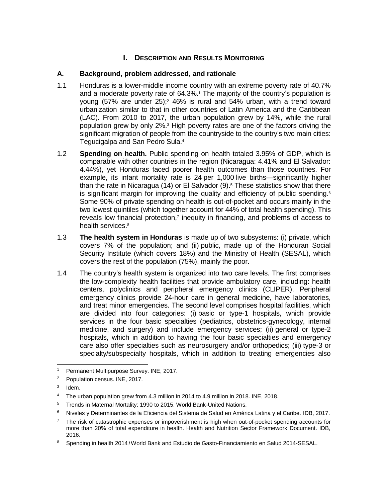## **I.** DESCRIPTION AND RESULTS MONITORING

## **A. Background, problem addressed, and rationale**

- 1.1 Honduras is a lower-middle income country with an extreme poverty rate of 40.7% and a moderate poverty rate of 64.3%.<sup>1</sup> The majority of the country's population is young  $(57\%$  are under  $25)$ ;<sup>2</sup> 46% is rural and  $54\%$  urban, with a trend toward urbanization similar to that in other countries of Latin America and the Caribbean (LAC). From 2010 to 2017, the urban population grew by 14%, while the rural population grew by only 2%.<sup>3</sup> High poverty rates are one of the factors driving the significant migration of people from the countryside to the country's two main cities: Tegucigalpa and San Pedro Sula.<sup>4</sup>
- 1.2 **Spending on health.** Public spending on health totaled 3.95% of GDP, which is comparable with other countries in the region (Nicaragua: 4.41% and El Salvador: 4.44%), yet Honduras faced poorer health outcomes than those countries. For example, its infant mortality rate is 24 per 1,000 live births—significantly higher than the rate in Nicaragua (14) or El Salvador  $(9)$ .<sup>5</sup> These statistics show that there is significant margin for improving the quality and efficiency of public spending.<sup>6</sup> Some 90% of private spending on health is out-of-pocket and occurs mainly in the two lowest quintiles (which together account for 44% of total health spending). This reveals low financial protection, $7$  inequity in financing, and problems of access to health services.<sup>8</sup>
- 1.3 **The health system in Honduras** is made up of two subsystems: (i) private, which covers 7% of the population; and (ii) public, made up of the Honduran Social Security Institute (which covers 18%) and the Ministry of Health (SESAL), which covers the rest of the population (75%), mainly the poor.
- 1.4 The country's health system is organized into two care levels. The first comprises the low-complexity health facilities that provide ambulatory care, including: health centers, polyclinics and peripheral emergency clinics (CLIPER). Peripheral emergency clinics provide 24-hour care in general medicine, have laboratories, and treat minor emergencies. The second level comprises hospital facilities, which are divided into four categories: (i) basic or type-1 hospitals, which provide services in the four basic specialties (pediatrics, obstetrics-gynecology, internal medicine, and surgery) and include emergency services; (ii) general or type-2 hospitals, which in addition to having the four basic specialties and emergency care also offer specialties such as neurosurgery and/or orthopedics; (iii) type-3 or specialty/subspecialty hospitals, which in addition to treating emergencies also

- <sup>5</sup> Trends in Maternal Mortality: 1990 to 2015. World Bank-United Nations.
- <sup>6</sup> Niveles y Determinantes de la Eficiencia del Sistema de Salud en América Latina y el Caribe. IDB, 2017.

 $1<sup>1</sup>$ <sup>1</sup> Permanent Multipurpose Survey. INE, 2017.

<sup>&</sup>lt;sup>2</sup> Population census. INE, 2017.

<sup>3</sup> Idem.

<sup>4</sup> The urban population grew from 4.3 million in 2014 to 4.9 million in 2018. INE, 2018.

 $7$  The risk of catastrophic expenses or impoverishment is high when out-of-pocket spending accounts for more than 20% of total expenditure in health. Health and Nutrition Sector Framework Document. IDB, 2016.

<sup>&</sup>lt;sup>8</sup> Spending in health 2014 / World Bank and Estudio de Gasto-Financiamiento en Salud 2014-SESAL.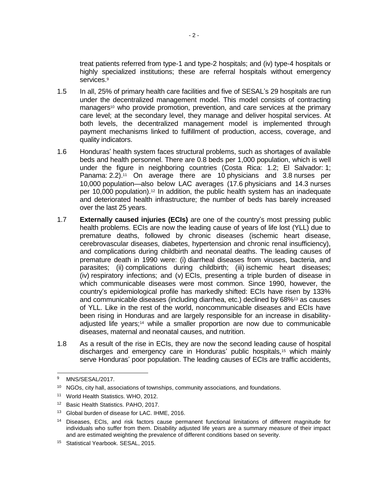treat patients referred from type-1 and type-2 hospitals; and (iv) type-4 hospitals or highly specialized institutions; these are referral hospitals without emergency services.<sup>9</sup>

- 1.5 In all, 25% of primary health care facilities and five of SESAL's 29 hospitals are run under the decentralized management model. This model consists of contracting managers<sup>10</sup> who provide promotion, prevention, and care services at the primary care level; at the secondary level, they manage and deliver hospital services. At both levels, the decentralized management model is implemented through payment mechanisms linked to fulfillment of production, access, coverage, and quality indicators.
- 1.6 Honduras' health system faces structural problems, such as shortages of available beds and health personnel. There are 0.8 beds per 1,000 population, which is well under the figure in neighboring countries (Costa Rica: 1.2; El Salvador: 1; Panama: 2.2).<sup>11</sup> On average there are 10 physicians and 3.8 nurses per 10,000 population—also below LAC averages (17.6 physicians and 14.3 nurses per 10,000 population).<sup>12</sup> In addition, the public health system has an inadequate and deteriorated health infrastructure; the number of beds has barely increased over the last 25 years.
- 1.7 **Externally caused injuries (ECIs)** are one of the country's most pressing public health problems. ECIs are now the leading cause of years of life lost (YLL) due to premature deaths, followed by chronic diseases (ischemic heart disease, cerebrovascular diseases, diabetes, hypertension and chronic renal insufficiency), and complications during childbirth and neonatal deaths. The leading causes of premature death in 1990 were: (i) diarrheal diseases from viruses, bacteria, and parasites; (ii) complications during childbirth; (iii) ischemic heart diseases; (iv) respiratory infections; and (v) ECIs, presenting a triple burden of disease in which communicable diseases were most common. Since 1990, however, the country's epidemiological profile has markedly shifted: ECIs have risen by 133% and communicable diseases (including diarrhea, etc.) declined by 68%<sup>13</sup> as causes of YLL. Like in the rest of the world, noncommunicable diseases and ECIs have been rising in Honduras and are largely responsible for an increase in disabilityadjusted life years;<sup>14</sup> while a smaller proportion are now due to communicable diseases, maternal and neonatal causes, and nutrition.
- 1.8 As a result of the rise in ECIs, they are now the second leading cause of hospital discharges and emergency care in Honduras' public hospitals,<sup>15</sup> which mainly serve Honduras' poor population. The leading causes of ECIs are traffic accidents,

<sup>9</sup> MNS/SESAL/2017.

<sup>&</sup>lt;sup>10</sup> NGOs, city hall, associations of townships, community associations, and foundations.

<sup>11</sup> World Health Statistics. WHO, 2012.

<sup>&</sup>lt;sup>12</sup> Basic Health Statistics. PAHO, 2017.

<sup>&</sup>lt;sup>13</sup> Global burden of disease for LAC. IHME, 2016.

<sup>&</sup>lt;sup>14</sup> Diseases, ECIs, and risk factors cause permanent functional limitations of different magnitude for individuals who suffer from them. Disability adjusted life years are a summary measure of their impact and are estimated weighting the prevalence of different conditions based on severity.

<sup>15</sup> Statistical Yearbook. SESAL, 2015.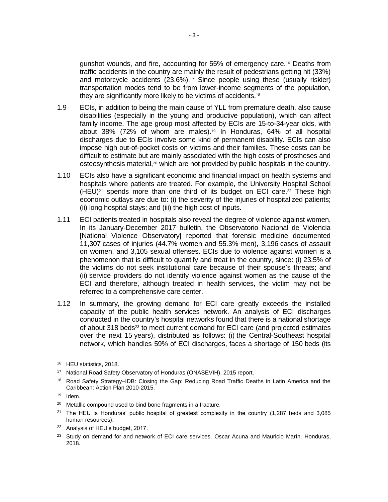gunshot wounds, and fire, accounting for 55% of emergency care.<sup>16</sup> Deaths from traffic accidents in the country are mainly the result of pedestrians getting hit (33%) and motorcycle accidents (23.6%).<sup>17</sup> Since people using these (usually riskier) transportation modes tend to be from lower-income segments of the population, they are significantly more likely to be victims of accidents.<sup>18</sup>

- 1.9 ECIs, in addition to being the main cause of YLL from premature death, also cause disabilities (especially in the young and productive population), which can affect family income. The age group most affected by ECIs are 15-to-34-year olds, with about 38% (72% of whom are males).<sup>19</sup> In Honduras, 64% of all hospital discharges due to ECIs involve some kind of permanent disability. ECIs can also impose high out-of-pocket costs on victims and their families. These costs can be difficult to estimate but are mainly associated with the high costs of prostheses and osteosynthesis material,<sup>20</sup> which are not provided by public hospitals in the country.
- 1.10 ECIs also have a significant economic and financial impact on health systems and hospitals where patients are treated. For example, the University Hospital School  $(HEU)<sup>21</sup>$  spends more than one third of its budget on ECI care.<sup>22</sup> These high economic outlays are due to: (i) the severity of the injuries of hospitalized patients; (ii) long hospital stays; and (iii) the high cost of inputs.
- 1.11 ECI patients treated in hospitals also reveal the degree of violence against women. In its January-December 2017 bulletin, the Observatorio Nacional de Violencia [National Violence Observatory] reported that forensic medicine documented 11,307 cases of injuries (44.7% women and 55.3% men), 3,196 cases of assault on women, and 3,105 sexual offenses. ECIs due to violence against women is a phenomenon that is difficult to quantify and treat in the country, since: (i) 23.5% of the victims do not seek institutional care because of their spouse's threats; and (ii) service providers do not identify violence against women as the cause of the ECI and therefore, although treated in health services, the victim may not be referred to a comprehensive care center.
- 1.12 In summary, the growing demand for ECI care greatly exceeds the installed capacity of the public health services network. An analysis of ECI discharges conducted in the country's hospital networks found that there is a national shortage of about 318 beds<sup>23</sup> to meet current demand for ECI care (and projected estimates over the next 15 years), distributed as follows: (i) the Central-Southeast hospital network, which handles 59% of ECI discharges, faces a shortage of 150 beds (its

<sup>16</sup> HEU statistics, 2018.

<sup>&</sup>lt;sup>17</sup> National Road Safety Observatory of Honduras (ONASEVIH). 2015 report.

<sup>&</sup>lt;sup>18</sup> Road Safety Strategy–IDB: Closing the Gap: Reducing Road Traffic Deaths in Latin America and the Caribbean: Action Plan 2010-2015.

<sup>19</sup> Idem.

<sup>&</sup>lt;sup>20</sup> Metallic compound used to bind bone fragments in a fracture.

<sup>&</sup>lt;sup>21</sup> The HEU is Honduras' public hospital of greatest complexity in the country (1,287 beds and 3,085 human resources).

<sup>22</sup> Analysis of HEU's budget, 2017.

<sup>&</sup>lt;sup>23</sup> Study on demand for and network of ECI care services. Oscar Acuna and Mauricio Marín. Honduras, 2018.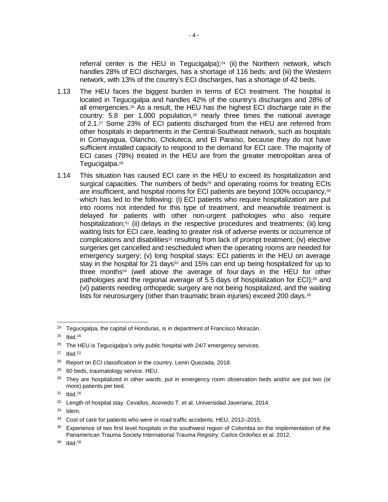referral center is the HEU in Tegucigalpa); <sup>24</sup> (ii) the Northern network, which handles 28% of ECI discharges, has a shortage of 116 beds; and (iii) the Western network, with 13% of the country's ECI discharges, has a shortage of 42 beds.

- 1.13 The HEU faces the biggest burden in terms of ECI treatment. The hospital is located in Tegucigalpa and handles 42% of the country's discharges and 28% of all emergencies.<sup>25</sup> As a result, the HEU has the highest ECI discharge rate in the country:  $5.8$  per 1,000 population, $26$  nearly three times the national average of 2.1.<sup>27</sup> Some 23% of ECI patients discharged from the HEU are referred from other hospitals in departments in the Central-Southeast network, such as hospitals in Comayagua, Olancho, Choluteca, and El Paraíso, because they do not have sufficient installed capacity to respond to the demand for ECI care. The majority of ECI cases (78%) treated in the HEU are from the greater metropolitan area of Tegucigalpa.<sup>28</sup>
- 1.14 This situation has caused ECI care in the HEU to exceed its hospitalization and surgical capacities. The numbers of beds $29$  and operating rooms for treating ECIs are insufficient, and hospital rooms for ECI patients are beyond 100% occupancy,<sup>30</sup> which has led to the following: (i) ECI patients who require hospitalization are put into rooms not intended for this type of treatment, and meanwhile treatment is delayed for patients with other non-urgent pathologies who also require hospitalization;<sup>31</sup> (ii) delays in the respective procedures and treatments; (iii) long waiting lists for ECI care, leading to greater risk of adverse events or occurrence of complications and disabilities<sup>32</sup> resulting from lack of prompt treatment; (iv) elective surgeries get cancelled and rescheduled when the operating rooms are needed for emergency surgery; (v) long hospital stays: ECI patients in the HEU on average stay in the hospital for 21 days<sup>33</sup> and 15% can end up being hospitalized for up to three months<sup>34</sup> (well above the average of four days in the HEU for other pathologies and the regional average of 5.5 days of hospitalization for ECI);<sup>35</sup> and (vi) patients needing orthopedic surgery are not being hospitalized, and the waiting lists for neurosurgery (other than traumatic brain injuries) exceed 200 days.<sup>36</sup>

<sup>29</sup> 60 beds, traumatology service. HEU.

  $24$  Tegucigalpa, the capital of Honduras, is in department of Francisco Morazán.

<sup>25</sup> Ibid.<sup>16</sup>

<sup>&</sup>lt;sup>26</sup> The HEU is Tegucigalpa's only public hospital with 24/7 emergency services.

 $27$  Ibid.<sup>21</sup>

<sup>&</sup>lt;sup>28</sup> Report on ECI classification in the country. Lenin Quezada, 2018.

<sup>&</sup>lt;sup>30</sup> They are hospitalized in other wards, put in emergency room observation beds and/or are put two (or more) patients per bed.

<sup>31</sup> Ibid.<sup>16</sup>

<sup>32</sup> Length of hospital stay. Cevallos, Acevedo T. et al. Universidad Javeriana, 2014.

<sup>33</sup> Idem.

<sup>&</sup>lt;sup>34</sup> Cost of care for patients who were in road traffic accidents. HEU, 2012–2015.

<sup>&</sup>lt;sup>35</sup> Experience of two first level hospitals in the southwest region of Colombia on the implementation of the Panamerican Trauma Society International Trauma Registry. Carlos Ordoñez et al. 2012.

<sup>36</sup> Ibid.<sup>16</sup>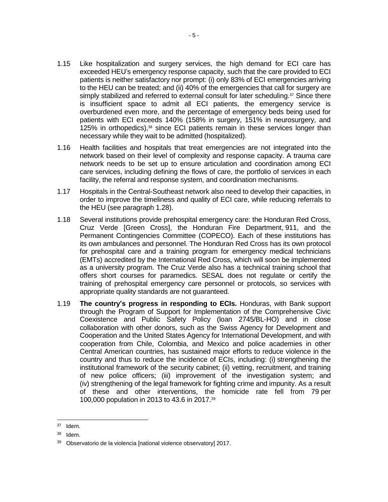- 1.15 Like hospitalization and surgery services, the high demand for ECI care has exceeded HEU's emergency response capacity, such that the care provided to ECI patients is neither satisfactory nor prompt: (i) only 83% of ECI emergencies arriving to the HEU can be treated; and (ii) 40% of the emergencies that call for surgery are simply stabilized and referred to external consult for later scheduling.<sup>37</sup> Since there is insufficient space to admit all ECI patients, the emergency service is overburdened even more, and the percentage of emergency beds being used for patients with ECI exceeds 140% (158% in surgery, 151% in neurosurgery, and 125% in orthopedics),<sup>38</sup> since ECI patients remain in these services longer than necessary while they wait to be admitted (hospitalized).
- 1.16 Health facilities and hospitals that treat emergencies are not integrated into the network based on their level of complexity and response capacity. A trauma care network needs to be set up to ensure articulation and coordination among ECI care services, including defining the flows of care, the portfolio of services in each facility, the referral and response system, and coordination mechanisms.
- 1.17 Hospitals in the Central-Southeast network also need to develop their capacities, in order to improve the timeliness and quality of ECI care, while reducing referrals to the HEU (see paragraph 1.28).
- 1.18 Several institutions provide prehospital emergency care: the Honduran Red Cross, Cruz Verde [Green Cross], the Honduran Fire Department, 911, and the Permanent Contingencies Committee (COPECO). Each of these institutions has its own ambulances and personnel. The Honduran Red Cross has its own protocol for prehospital care and a training program for emergency medical technicians (EMTs) accredited by the International Red Cross, which will soon be implemented as a university program. The Cruz Verde also has a technical training school that offers short courses for paramedics. SESAL does not regulate or certify the training of prehospital emergency care personnel or protocols, so services with appropriate quality standards are not guaranteed.
- 1.19 **The country's progress in responding to ECIs.** Honduras, with Bank support through the Program of Support for Implementation of the Comprehensive Civic Coexistence and Public Safety Policy (loan 2745/BL-HO) and in close collaboration with other donors, such as the Swiss Agency for Development and Cooperation and the United States Agency for International Development, and with cooperation from Chile, Colombia, and Mexico and police academies in other Central American countries, has sustained major efforts to reduce violence in the country and thus to reduce the incidence of ECIs, including: (i) strengthening the institutional framework of the security cabinet; (ii) vetting, recruitment, and training of new police officers; (iii) improvement of the investigation system; and (iv) strengthening of the legal framework for fighting crime and impunity. As a result of these and other interventions, the homicide rate fell from 79 per 100,000 population in 2013 to 43.6 in 2017.<sup>39</sup>

 $37$  Idem.

<sup>38</sup> Idem.

<sup>39</sup> Observatorio de la violencia [national violence observatory] 2017.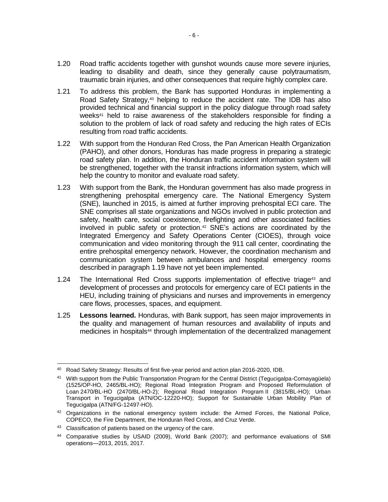- 1.20 Road traffic accidents together with gunshot wounds cause more severe injuries, leading to disability and death, since they generally cause polytraumatism, traumatic brain injuries, and other consequences that require highly complex care.
- 1.21 To address this problem, the Bank has supported Honduras in implementing a Road Safety Strategy,<sup>40</sup> helping to reduce the accident rate. The IDB has also provided technical and financial support in the policy dialogue through road safety weeks<sup>41</sup> held to raise awareness of the stakeholders responsible for finding a solution to the problem of lack of road safety and reducing the high rates of ECIs resulting from road traffic accidents.
- 1.22 With support from the Honduran Red Cross, the Pan American Health Organization (PAHO), and other donors, Honduras has made progress in preparing a strategic road safety plan. In addition, the Honduran traffic accident information system will be strengthened, together with the transit infractions information system, which will help the country to monitor and evaluate road safety.
- 1.23 With support from the Bank, the Honduran government has also made progress in strengthening prehospital emergency care. The National Emergency System (SNE), launched in 2015, is aimed at further improving prehospital ECI care. The SNE comprises all state organizations and NGOs involved in public protection and safety, health care, social coexistence, firefighting and other associated facilities involved in public safety or protection.<sup>42</sup> SNE's actions are coordinated by the Integrated Emergency and Safety Operations Center (CIOES), through voice communication and video monitoring through the 911 call center, coordinating the entire prehospital emergency network. However, the coordination mechanism and communication system between ambulances and hospital emergency rooms described in paragraph 1.19 have not yet been implemented.
- 1.24 The International Red Cross supports implementation of effective triage<sup>43</sup> and development of processes and protocols for emergency care of ECI patients in the HEU, including training of physicians and nurses and improvements in emergency care flows, processes, spaces, and equipment.
- 1.25 **Lessons learned.** Honduras, with Bank support, has seen major improvements in the quality and management of human resources and availability of inputs and medicines in hospitals<sup>44</sup> through implementation of the decentralized management

<sup>40</sup> Road Safety Strategy: Results of first five-year period and action plan 2016-2020, IDB.

<sup>&</sup>lt;sup>41</sup> With support from the Public Transportation Program for the Central District (Tegucigalpa-Comayagüela) (1525/OP-HO, 2465/BL-HO); Regional Road Integration Program and Proposed Reformulation of Loan 2470/BL-HO (2470/BL-HO-2); Regional Road Integration Program II (3815/BL-HO); Urban Transport in Tegucigalpa (ATN/OC-12220-HO); Support for Sustainable Urban Mobility Plan of Tegucigalpa (ATN/FG-12497-HO).

<sup>42</sup> Organizations in the national emergency system include: the Armed Forces, the National Police, COPECO, the Fire Department, the Honduran Red Cross, and Cruz Verde.

<sup>&</sup>lt;sup>43</sup> Classification of patients based on the urgency of the care.

<sup>44</sup> Comparative studies by USAID (2009), World Bank (2007); and performance evaluations of SMI operations—2013, 2015, 2017.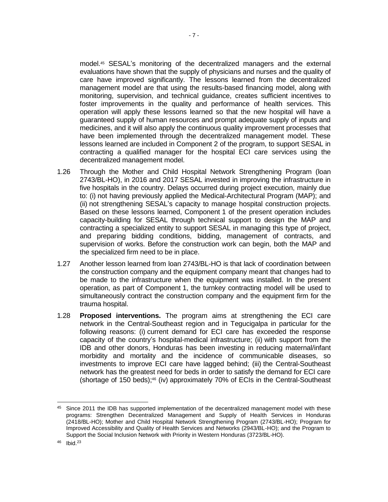model.<sup>45</sup> SESAL's monitoring of the decentralized managers and the external evaluations have shown that the supply of physicians and nurses and the quality of care have improved significantly. The lessons learned from the decentralized management model are that using the results-based financing model, along with monitoring, supervision, and technical guidance, creates sufficient incentives to foster improvements in the quality and performance of health services. This operation will apply these lessons learned so that the new hospital will have a guaranteed supply of human resources and prompt adequate supply of inputs and medicines, and it will also apply the continuous quality improvement processes that have been implemented through the decentralized management model. These lessons learned are included in Component 2 of the program, to support SESAL in contracting a qualified manager for the hospital ECI care services using the decentralized management model.

- 1.26 Through the Mother and Child Hospital Network Strengthening Program (loan 2743/BL-HO), in 2016 and 2017 SESAL invested in improving the infrastructure in five hospitals in the country. Delays occurred during project execution, mainly due to: (i) not having previously applied the Medical-Architectural Program (MAP); and (ii) not strengthening SESAL's capacity to manage hospital construction projects. Based on these lessons learned, Component 1 of the present operation includes capacity-building for SESAL through technical support to design the MAP and contracting a specialized entity to support SESAL in managing this type of project, and preparing bidding conditions, bidding, management of contracts, and supervision of works. Before the construction work can begin, both the MAP and the specialized firm need to be in place.
- 1.27 Another lesson learned from loan 2743/BL-HO is that lack of coordination between the construction company and the equipment company meant that changes had to be made to the infrastructure when the equipment was installed. In the present operation, as part of Component 1, the turnkey contracting model will be used to simultaneously contract the construction company and the equipment firm for the trauma hospital.
- 1.28 **Proposed interventions.** The program aims at strengthening the ECI care network in the Central-Southeast region and in Tegucigalpa in particular for the following reasons: (i) current demand for ECI care has exceeded the response capacity of the country's hospital-medical infrastructure; (ii) with support from the IDB and other donors, Honduras has been investing in reducing maternal/infant morbidity and mortality and the incidence of communicable diseases, so investments to improve ECI care have lagged behind; (iii) the Central-Southeast network has the greatest need for beds in order to satisfy the demand for ECI care (shortage of 150 beds);<sup>46</sup> (iv) approximately 70% of ECIs in the Central-Southeast

 $\overline{a}$ 

<sup>&</sup>lt;sup>45</sup> Since 2011 the IDB has supported implementation of the decentralized management model with these programs: Strengthen Decentralized Management and Supply of Health Services in Honduras (2418/BL-HO); Mother and Child Hospital Network Strengthening Program (2743/BL-HO); Program for Improved Accessibility and Quality of Health Services and Networks (2943/BL-HO); and the Program to Support the Social Inclusion Network with Priority in Western Honduras (3723/BL-HO).

<sup>46</sup> Ibid.<sup>23</sup>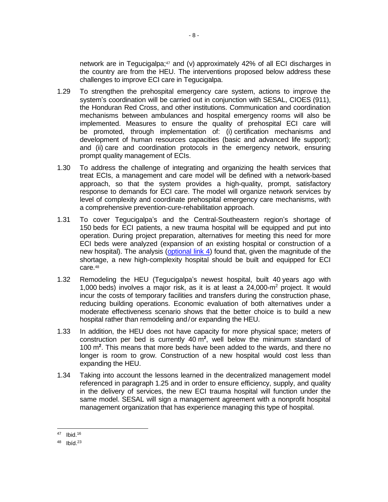network are in Tegucigalpa;<sup>47</sup> and (v) approximately 42% of all ECI discharges in the country are from the HEU. The interventions proposed below address these challenges to improve ECI care in Tegucigalpa.

- 1.29 To strengthen the prehospital emergency care system, actions to improve the system's coordination will be carried out in conjunction with SESAL, CIOES (911), the Honduran Red Cross, and other institutions. Communication and coordination mechanisms between ambulances and hospital emergency rooms will also be implemented. Measures to ensure the quality of prehospital ECI care will be promoted, through implementation of: (i) certification mechanisms and development of human resources capacities (basic and advanced life support); and (ii) care and coordination protocols in the emergency network, ensuring prompt quality management of ECIs.
- 1.30 To address the challenge of integrating and organizing the health services that treat ECIs, a management and care model will be defined with a network-based approach, so that the system provides a high-quality, prompt, satisfactory response to demands for ECI care. The model will organize network services by level of complexity and coordinate prehospital emergency care mechanisms, with a comprehensive prevention-cure-rehabilitation approach.
- 1.31 To cover Tegucigalpa's and the Central-Southeastern region's shortage of 150 beds for ECI patients, a new trauma hospital will be equipped and put into operation. During project preparation, alternatives for meeting this need for more ECI beds were analyzed (expansion of an existing hospital or construction of a new hospital). The analysis [\(optional link 4\)](http://idbdocs.iadb.org/wsdocs/getDocument.aspx?DOCNUM=EZSHARE-527553098-55) found that, given the magnitude of the shortage, a new high-complexity hospital should be built and equipped for ECI care.<sup>48</sup>
- 1.32 Remodeling the HEU (Tegucigalpa's newest hospital, built 40 years ago with 1,000 beds) involves a major risk, as it is at least a 24,000-m<sup>2</sup> project. It would incur the costs of temporary facilities and transfers during the construction phase, reducing building operations. Economic evaluation of both alternatives under a moderate effectiveness scenario shows that the better choice is to build a new hospital rather than remodeling and/or expanding the HEU.
- 1.33 In addition, the HEU does not have capacity for more physical space; meters of construction per bed is currently 40 m**<sup>2</sup>** , well below the minimum standard of 100 m**<sup>2</sup>** . This means that more beds have been added to the wards, and there no longer is room to grow. Construction of a new hospital would cost less than expanding the HEU.
- 1.34 Taking into account the lessons learned in the decentralized management model referenced in paragraph 1.25 and in order to ensure efficiency, supply, and quality in the delivery of services, the new ECI trauma hospital will function under the same model. SESAL will sign a management agreement with a nonprofit hospital management organization that has experience managing this type of hospital.

<sup>47</sup> Ibid.<sup>16</sup>

<sup>48</sup> Ibíd.<sup>23</sup>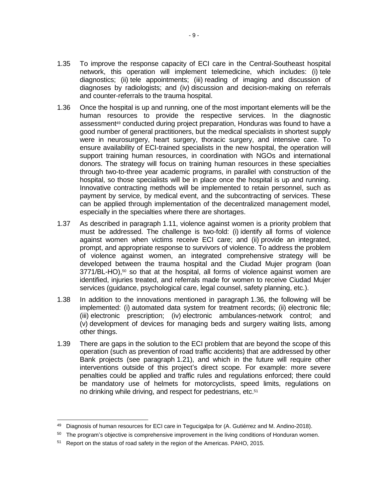- 1.35 To improve the response capacity of ECI care in the Central-Southeast hospital network, this operation will implement telemedicine, which includes: (i) tele diagnostics; (ii) tele appointments; (iii) reading of imaging and discussion of diagnoses by radiologists; and (iv) discussion and decision-making on referrals and counter-referrals to the trauma hospital.
- 1.36 Once the hospital is up and running, one of the most important elements will be the human resources to provide the respective services. In the diagnostic assessment<sup>49</sup> conducted during project preparation, Honduras was found to have a good number of general practitioners, but the medical specialists in shortest supply were in neurosurgery, heart surgery, thoracic surgery, and intensive care. To ensure availability of ECI-trained specialists in the new hospital, the operation will support training human resources, in coordination with NGOs and international donors. The strategy will focus on training human resources in these specialties through two-to-three year academic programs, in parallel with construction of the hospital, so those specialists will be in place once the hospital is up and running. Innovative contracting methods will be implemented to retain personnel, such as payment by service, by medical event, and the subcontracting of services. These can be applied through implementation of the decentralized management model, especially in the specialties where there are shortages.
- 1.37 As described in paragraph 1.11, violence against women is a priority problem that must be addressed. The challenge is two-fold: (i) identify all forms of violence against women when victims receive ECI care; and (ii) provide an integrated, prompt, and appropriate response to survivors of violence. To address the problem of violence against women, an integrated comprehensive strategy will be developed between the trauma hospital and the Ciudad Mujer program (loan  $3771/BL-HO$ ),<sup>50</sup> so that at the hospital, all forms of violence against women are identified, injuries treated, and referrals made for women to receive Ciudad Mujer services (guidance, psychological care, legal counsel, safety planning, etc.).
- 1.38 In addition to the innovations mentioned in paragraph 1.36, the following will be implemented: (i) automated data system for treatment records; (ii) electronic file; (iii) electronic prescription; (iv) electronic ambulances-network control; and (v) development of devices for managing beds and surgery waiting lists, among other things.
- 1.39 There are gaps in the solution to the ECI problem that are beyond the scope of this operation (such as prevention of road traffic accidents) that are addressed by other Bank projects (see paragraph 1.21), and which in the future will require other interventions outside of this project's direct scope. For example: more severe penalties could be applied and traffic rules and regulations enforced; there could be mandatory use of helmets for motorcyclists, speed limits, regulations on no drinking while driving, and respect for pedestrians, etc.<sup>51</sup>

Diagnosis of human resources for ECI care in Tegucigalpa for (A. Gutiérrez and M. Andino-2018).

 $50$  The program's objective is comprehensive improvement in the living conditions of Honduran women.

<sup>&</sup>lt;sup>51</sup> Report on the status of road safety in the region of the Americas. PAHO, 2015.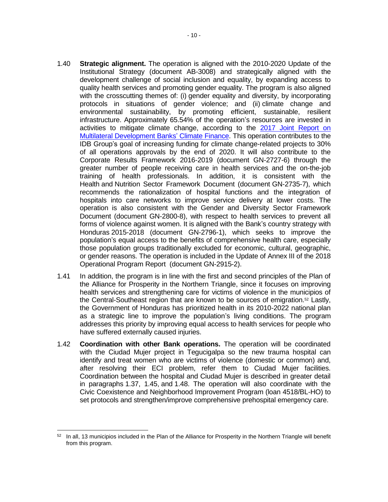- 1.40 **Strategic alignment.** The operation is aligned with the 2010-2020 Update of the Institutional Strategy (document AB-3008) and strategically aligned with the development challenge of social inclusion and equality, by expanding access to quality health services and promoting gender equality. The program is also aligned with the crosscutting themes of: (i) gender equality and diversity, by incorporating protocols in situations of gender violence; and (ii) climate change and environmental sustainability, by promoting efficient, sustainable, resilient infrastructure. Approximately 65.54% of the operation's resources are invested in activities to mitigate climate change, according to the 2017 Joint Report on [Multilateral Development Banks'](https://publications.iadb.org/handle/11319/9163) Climate Finance. This operation contributes to the IDB Group's goal of increasing funding for climate change-related projects to 30% of all operations approvals by the end of 2020. It will also contribute to the Corporate Results Framework 2016-2019 (document GN-2727-6) through the greater number of people receiving care in health services and the on-the-job training of health professionals. In addition, it is consistent with the Health and Nutrition Sector Framework Document (document GN-2735-7), which recommends the rationalization of hospital functions and the integration of hospitals into care networks to improve service delivery at lower costs. The operation is also consistent with the Gender and Diversity Sector Framework Document (document GN-2800-8), with respect to health services to prevent all forms of violence against women. It is aligned with the Bank's country strategy with Honduras 2015-2018 (document [GN-2796-1\)](http://sec.iadb.org/Site/Documents/DOC_Detail.aspx?pSecRegN=GN-2796-1), which seeks to improve the population's equal access to the benefits of comprehensive health care, especially those population groups traditionally excluded for economic, cultural, geographic, or gender reasons. The operation is included in the Update of Annex III of the 2018 Operational Program Report (document GN-2915-2).
- 1.41 In addition, the program is in line with the first and second principles of the Plan of the Alliance for Prosperity in the Northern Triangle, since it focuses on improving health services and strengthening care for victims of violence in the municipios of the Central-Southeast region that are known to be sources of emigration.<sup>52</sup> Lastly, the Government of Honduras has prioritized health in its 2010-2022 national plan as a strategic line to improve the population's living conditions. The program addresses this priority by improving equal access to health services for people who have suffered externally caused injuries.
- 1.42 **Coordination with other Bank operations.** The operation will be coordinated with the Ciudad Mujer project in Tegucigalpa so the new trauma hospital can identify and treat women who are victims of violence (domestic or common) and, after resolving their ECI problem, refer them to Ciudad Mujer facilities. Coordination between the hospital and Ciudad Mujer is described in greater detail in paragraphs 1.37, 1.45, and 1.48. The operation will also coordinate with the Civic Coexistence and Neighborhood Improvement Program (loan 4518/BL-HO) to set protocols and strengthen/improve comprehensive prehospital emergency care.

<sup>52</sup> In all, 13 municipios included in the Plan of the Alliance for Prosperity in the Northern Triangle will benefit from this program.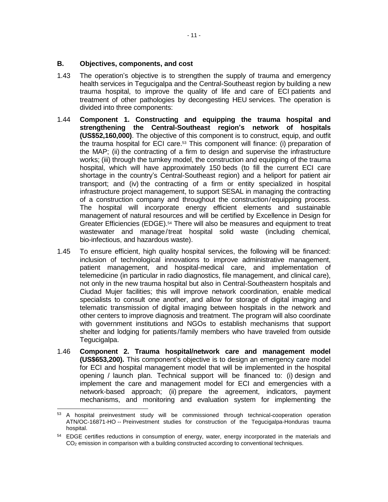### **B. Objectives, components, and cost**

- 1.43 The operation's objective is to strengthen the supply of trauma and emergency health services in Tegucigalpa and the Central-Southeast region by building a new trauma hospital, to improve the quality of life and care of ECI patients and treatment of other pathologies by decongesting HEU services. The operation is divided into three components:
- 1.44 **Component 1. Constructing and equipping the trauma hospital and strengthening the Central-Southeast region's network of hospitals (US\$52,160,000)**. The objective of this component is to construct, equip, and outfit the trauma hospital for ECI care. <sup>53</sup> This component will finance: (i) preparation of the MAP; (ii) the contracting of a firm to design and supervise the infrastructure works; (iii) through the turnkey model, the construction and equipping of the trauma hospital, which will have approximately 150 beds (to fill the current ECI care shortage in the country's Central-Southeast region) and a heliport for patient air transport; and (iv) the contracting of a firm or entity specialized in hospital infrastructure project management, to support SESAL in managing the contracting of a construction company and throughout the construction/equipping process. The hospital will incorporate energy efficient elements and sustainable management of natural resources and will be certified by Excellence in Design for Greater Efficiencies (EDGE).<sup>54</sup> There will also be measures and equipment to treat wastewater and manage/treat hospital solid waste (including chemical, bio-infectious, and hazardous waste).
- 1.45 To ensure efficient, high quality hospital services, the following will be financed: inclusion of technological innovations to improve administrative management, patient management, and hospital-medical care, and implementation of telemedicine (in particular in radio diagnostics, file management, and clinical care), not only in the new trauma hospital but also in Central-Southeastern hospitals and Ciudad Mujer facilities; this will improve network coordination, enable medical specialists to consult one another, and allow for storage of digital imaging and telematic transmission of digital imaging between hospitals in the network and other centers to improve diagnosis and treatment. The program will also coordinate with government institutions and NGOs to establish mechanisms that support shelter and lodging for patients/family members who have traveled from outside Tegucigalpa.
- 1.46 **Component 2. Trauma hospital/network care and management model (US\$653,200).** This component's objective is to design an emergency care model for ECI and hospital management model that will be implemented in the hospital opening / launch plan. Technical support will be financed to: (i) design and implement the care and management model for ECI and emergencies with a network-based approach; (ii) prepare the agreement, indicators, payment mechanisms, and monitoring and evaluation system for implementing the

 <sup>53</sup> A hospital preinvestment study will be commissioned through technical-cooperation operation ATN/OC-16871-HO -- Preinvestment studies for construction of the Tegucigalpa-Honduras trauma hospital.

<sup>&</sup>lt;sup>54</sup> EDGE certifies reductions in consumption of energy, water, energy incorporated in the materials and CO<sub>2</sub> emission in comparison with a building constructed according to conventional techniques.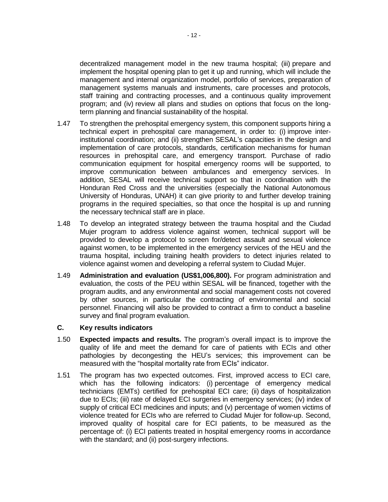decentralized management model in the new trauma hospital; (iii) prepare and implement the hospital opening plan to get it up and running, which will include the management and internal organization model, portfolio of services, preparation of management systems manuals and instruments, care processes and protocols, staff training and contracting processes, and a continuous quality improvement program; and (iv) review all plans and studies on options that focus on the longterm planning and financial sustainability of the hospital.

- 1.47 To strengthen the prehospital emergency system, this component supports hiring a technical expert in prehospital care management, in order to: (i) improve interinstitutional coordination; and (ii) strengthen SESAL's capacities in the design and implementation of care protocols, standards, certification mechanisms for human resources in prehospital care, and emergency transport. Purchase of radio communication equipment for hospital emergency rooms will be supported, to improve communication between ambulances and emergency services. In addition, SESAL will receive technical support so that in coordination with the Honduran Red Cross and the universities (especially the National Autonomous University of Honduras, UNAH) it can give priority to and further develop training programs in the required specialties, so that once the hospital is up and running the necessary technical staff are in place.
- 1.48 To develop an integrated strategy between the trauma hospital and the Ciudad Mujer program to address violence against women, technical support will be provided to develop a protocol to screen for/detect assault and sexual violence against women, to be implemented in the emergency services of the HEU and the trauma hospital, including training health providers to detect injuries related to violence against women and developing a referral system to Ciudad Mujer.
- 1.49 **Administration and evaluation (US\$1,006,800).** For program administration and evaluation, the costs of the PEU within SESAL will be financed, together with the program audits, and any environmental and social management costs not covered by other sources, in particular the contracting of environmental and social personnel. Financing will also be provided to contract a firm to conduct a baseline survey and final program evaluation.

### **C. Key results indicators**

- 1.50 **Expected impacts and results.** The program's overall impact is to improve the quality of life and meet the demand for care of patients with ECIs and other pathologies by decongesting the HEU's services; this improvement can be measured with the "hospital mortality rate from ECIs" indicator.
- 1.51 The program has two expected outcomes. First, improved access to ECI care, which has the following indicators: (i) percentage of emergency medical technicians (EMTs) certified for prehospital ECI care; (ii) days of hospitalization due to ECIs; (iii) rate of delayed ECI surgeries in emergency services; (iv) index of supply of critical ECI medicines and inputs; and (v) percentage of women victims of violence treated for ECIs who are referred to Ciudad Mujer for follow-up. Second, improved quality of hospital care for ECI patients, to be measured as the percentage of: (i) ECI patients treated in hospital emergency rooms in accordance with the standard; and (ii) post-surgery infections.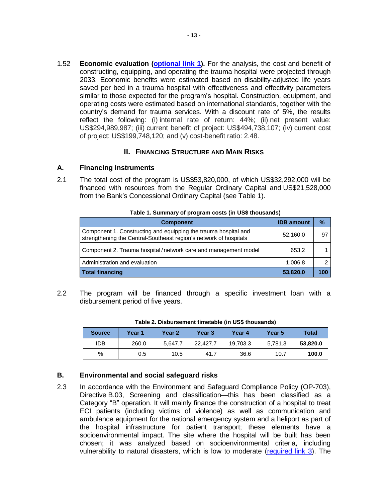1.52 **Economic evaluation [\(optional link 1\)](http://idbdocs.iadb.org/wsdocs/getDocument.aspx?DOCNUM=EZSHARE-527553098-43).** For the analysis, the cost and benefit of constructing, equipping, and operating the trauma hospital were projected through 2033. Economic benefits were estimated based on disability-adjusted life years saved per bed in a trauma hospital with effectiveness and effectivity parameters similar to those expected for the program's hospital. Construction, equipment, and operating costs were estimated based on international standards, together with the country's demand for trauma services. With a discount rate of 5%, the results reflect the following: (i) internal rate of return: 44%; (ii) net present value: US\$294,989,987; (iii) current benefit of project: US\$494,738,107; (iv) current cost of project: US\$199,748,120; and (v) cost-benefit ratio: 2.48.

## **II. FINANCING STRUCTURE AND MAIN RISKS**

## **A. Financing instruments**

2.1 The total cost of the program is US\$53,820,000, of which US\$32,292,000 will be financed with resources from the Regular Ordinary Capital and US\$21,528,000 from the Bank's Concessional Ordinary Capital (see Table 1).

| <b>Component</b>                                                                                                                     | <b>IDB</b> amount | $\%$ |
|--------------------------------------------------------------------------------------------------------------------------------------|-------------------|------|
| Component 1. Constructing and equipping the trauma hospital and<br>strengthening the Central-Southeast region's network of hospitals | 52,160.0          | 97   |
| Component 2. Trauma hospital/network care and management model                                                                       | 653.2             |      |
| Administration and evaluation                                                                                                        | 1,006.8           |      |
| Total financing                                                                                                                      | 53,820.0          |      |

2.2 The program will be financed through a specific investment loan with a disbursement period of five years.

| <b>Source</b> | Year 1 | Year 2  | Year <sub>3</sub> | Year 4   | Year 5  | <b>Total</b> |
|---------------|--------|---------|-------------------|----------|---------|--------------|
| <b>IDB</b>    | 260.0  | 5.647.7 | 22,427.7          | 19,703.3 | 5.781.3 | 53,820.0     |
| %             | 0.5    | 10.5    | 41.7              | 36.6     | 10.7    | 100.0        |

**Table 2. Disbursement timetable (in US\$ thousands)**

## **B. Environmental and social safeguard risks**

2.3 In accordance with the Environment and Safeguard Compliance Policy (OP-703), Directive B.03, Screening and classification—this has been classified as a Category "B" operation. It will mainly finance the construction of a hospital to treat ECI patients (including victims of violence) as well as communication and ambulance equipment for the national emergency system and a heliport as part of the hospital infrastructure for patient transport; these elements have a socioenvironmental impact. The site where the hospital will be built has been chosen; it was analyzed based on socioenvironmental criteria, including vulnerability to natural disasters, which is low to moderate [\(required](http://idbdocs.iadb.org/wsdocs/getDocument.aspx?DOCNUM=EZSHARE-527553098-52) link 3). The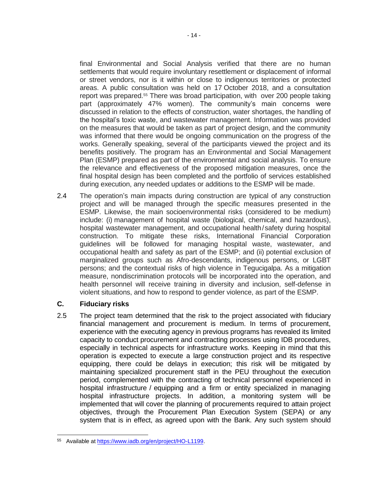final Environmental and Social Analysis verified that there are no human settlements that would require involuntary resettlement or displacement of informal or street vendors, nor is it within or close to indigenous territories or protected areas. A public consultation was held on 17 October 2018, and a consultation report was prepared.<sup>55</sup> There was broad participation, with over 200 people taking part (approximately 47% women). The community's main concerns were discussed in relation to the effects of construction, water shortages, the handling of the hospital's toxic waste, and wastewater management. Information was provided on the measures that would be taken as part of project design, and the community was informed that there would be ongoing communication on the progress of the works. Generally speaking, several of the participants viewed the project and its benefits positively. The program has an Environmental and Social Management Plan (ESMP) prepared as part of the environmental and social analysis. To ensure the relevance and effectiveness of the proposed mitigation measures, once the final hospital design has been completed and the portfolio of services established during execution, any needed updates or additions to the ESMP will be made.

2.4 The operation's main impacts during construction are typical of any construction project and will be managed through the specific measures presented in the ESMP. Likewise, the main socioenvironmental risks (considered to be medium) include: (i) management of hospital waste (biological, chemical, and hazardous), hospital wastewater management, and occupational health/safety during hospital construction. To mitigate these risks, International Financial Corporation guidelines will be followed for managing hospital waste, wastewater, and occupational health and safety as part of the ESMP; and (ii) potential exclusion of marginalized groups such as Afro-descendants, indigenous persons, or LGBT persons; and the contextual risks of high violence in Tegucigalpa. As a mitigation measure, nondiscrimination protocols will be incorporated into the operation, and health personnel will receive training in diversity and inclusion, self-defense in violent situations, and how to respond to gender violence, as part of the ESMP.

## **C. Fiduciary risks**

2.5 The project team determined that the risk to the project associated with fiduciary financial management and procurement is medium. In terms of procurement, experience with the executing agency in previous programs has revealed its limited capacity to conduct procurement and contracting processes using IDB procedures, especially in technical aspects for infrastructure works. Keeping in mind that this operation is expected to execute a large construction project and its respective equipping, there could be delays in execution; this risk will be mitigated by maintaining specialized procurement staff in the PEU throughout the execution period, complemented with the contracting of technical personnel experienced in hospital infrastructure / equipping and a firm or entity specialized in managing hospital infrastructure projects. In addition, a monitoring system will be implemented that will cover the planning of procurements required to attain project objectives, through the Procurement Plan Execution System (SEPA) or any system that is in effect, as agreed upon with the Bank. Any such system should

 $\overline{a}$ <sup>55</sup> Available a[t https://www.iadb.org/en/project/HO-L1199.](https://www.iadb.org/en/project/HO-L1199)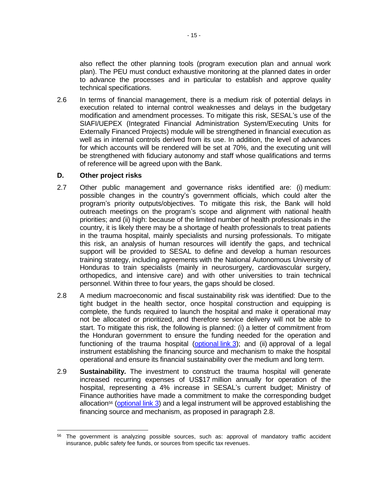also reflect the other planning tools (program execution plan and annual work plan). The PEU must conduct exhaustive monitoring at the planned dates in order to advance the processes and in particular to establish and approve quality technical specifications.

2.6 In terms of financial management, there is a medium risk of potential delays in execution related to internal control weaknesses and delays in the budgetary modification and amendment processes. To mitigate this risk, SESAL's use of the SIAFI/UEPEX (Integrated Financial Administration System/Executing Units for Externally Financed Projects) module will be strengthened in financial execution as well as in internal controls derived from its use. In addition, the level of advances for which accounts will be rendered will be set at 70%, and the executing unit will be strengthened with fiduciary autonomy and staff whose qualifications and terms of reference will be agreed upon with the Bank.

## **D. Other project risks**

- 2.7 Other public management and governance risks identified are: (i) medium: possible changes in the country's government officials, which could alter the program's priority outputs/objectives. To mitigate this risk, the Bank will hold outreach meetings on the program's scope and alignment with national health priorities; and (ii) high: because of the limited number of health professionals in the country, it is likely there may be a shortage of health professionals to treat patients in the trauma hospital, mainly specialists and nursing professionals. To mitigate this risk, an analysis of human resources will identify the gaps, and technical support will be provided to SESAL to define and develop a human resources training strategy, including agreements with the National Autonomous University of Honduras to train specialists (mainly in neurosurgery, cardiovascular surgery, orthopedics, and intensive care) and with other universities to train technical personnel. Within three to four years, the gaps should be closed.
- 2.8 A medium macroeconomic and fiscal sustainability risk was identified: Due to the tight budget in the health sector, once hospital construction and equipping is complete, the funds required to launch the hospital and make it operational may not be allocated or prioritized, and therefore service delivery will not be able to start. To mitigate this risk, the following is planned: (i) a letter of commitment from the Honduran government to ensure the funding needed for the operation and functioning of the trauma hospital [\(optional](http://idbdocs.iadb.org/wsdocs/getDocument.aspx?DOCNUM=EZSHARE-527553098-46) link 3); and (ii) approval of a legal instrument establishing the financing source and mechanism to make the hospital operational and ensure its financial sustainability over the medium and long term.
- 2.9 **Sustainability.** The investment to construct the trauma hospital will generate increased recurring expenses of US\$17 million annually for operation of the hospital, representing a 4% increase in SESAL's current budget; Ministry of Finance authorities have made a commitment to make the corresponding budget allocation<sup>56</sup> [\(optional](http://idbdocs.iadb.org/wsdocs/getDocument.aspx?DOCNUM=EZSHARE-527553098-46) link 3) and a legal instrument will be approved establishing the financing source and mechanism, as proposed in paragraph 2.8.

 <sup>56</sup> The government is analyzing possible sources, such as: approval of mandatory traffic accident insurance, public safety fee funds, or sources from specific tax revenues.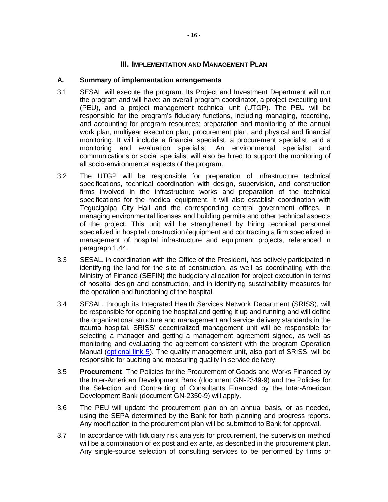## **III. IMPLEMENTATION AND MANAGEMENT PLAN**

## **A. Summary of implementation arrangements**

- 3.1 SESAL will execute the program. Its Project and Investment Department will run the program and will have: an overall program coordinator, a project executing unit (PEU), and a project management technical unit (UTGP). The PEU will be responsible for the program's fiduciary functions, including managing, recording, and accounting for program resources; preparation and monitoring of the annual work plan, multiyear execution plan, procurement plan, and physical and financial monitoring. It will include a financial specialist, a procurement specialist, and a monitoring and evaluation specialist. An environmental specialist and communications or social specialist will also be hired to support the monitoring of all socio-environmental aspects of the program.
- 3.2 The UTGP will be responsible for preparation of infrastructure technical specifications, technical coordination with design, supervision, and construction firms involved in the infrastructure works and preparation of the technical specifications for the medical equipment. It will also establish coordination with Tegucigalpa City Hall and the corresponding central government offices, in managing environmental licenses and building permits and other technical aspects of the project. This unit will be strengthened by hiring technical personnel specialized in hospital construction/equipment and contracting a firm specialized in management of hospital infrastructure and equipment projects, referenced in paragraph 1.44.
- 3.3 SESAL, in coordination with the Office of the President, has actively participated in identifying the land for the site of construction, as well as coordinating with the Ministry of Finance (SEFIN) the budgetary allocation for project execution in terms of hospital design and construction, and in identifying sustainability measures for the operation and functioning of the hospital.
- 3.4 SESAL, through its Integrated Health Services Network Department (SRISS), will be responsible for opening the hospital and getting it up and running and will define the organizational structure and management and service delivery standards in the trauma hospital. SRISS' decentralized management unit will be responsible for selecting a manager and getting a management agreement signed, as well as monitoring and evaluating the agreement consistent with the program Operation Manual [\(optional link 5\)](http://idbdocs.iadb.org/wsdocs/getDocument.aspx?DOCNUM=EZSHARE-527553098-63). The quality management unit, also part of SRISS, will be responsible for auditing and measuring quality in service delivery.
- 3.5 **Procurement**. The Policies for the Procurement of Goods and Works Financed by the Inter-American Development Bank (document GN-2349-9) and the Policies for the Selection and Contracting of Consultants Financed by the Inter-American Development Bank (document GN-2350-9) will apply.
- 3.6 The PEU will update the procurement plan on an annual basis, or as needed, using the SEPA determined by the Bank for both planning and progress reports. Any modification to the procurement plan will be submitted to Bank for approval.
- 3.7 In accordance with fiduciary risk analysis for procurement, the supervision method will be a combination of ex post and ex ante, as described in the procurement plan. Any single-source selection of consulting services to be performed by firms or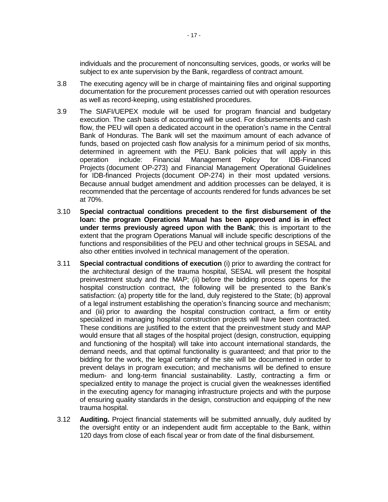individuals and the procurement of nonconsulting services, goods, or works will be subject to ex ante supervision by the Bank, regardless of contract amount.

- 3.8 The executing agency will be in charge of maintaining files and original supporting documentation for the procurement processes carried out with operation resources as well as record-keeping, using established procedures.
- 3.9 The SIAFI/UEPEX module will be used for program financial and budgetary execution. The cash basis of accounting will be used. For disbursements and cash flow, the PEU will open a dedicated account in the operation's name in the Central Bank of Honduras. The Bank will set the maximum amount of each advance of funds, based on projected cash flow analysis for a minimum period of six months, determined in agreement with the PEU. Bank policies that will apply in this operation include: Financial Management Policy for IDB-Financed Projects (document OP-273) and Financial Management Operational Guidelines for IDB-financed Projects (document OP-274) in their most updated versions. Because annual budget amendment and addition processes can be delayed, it is recommended that the percentage of accounts rendered for funds advances be set at 70%.
- 3.10 **Special contractual conditions precedent to the first disbursement of the loan: the program Operations Manual has been approved and is in effect under terms previously agreed upon with the Bank**; this is important to the extent that the program Operations Manual will include specific descriptions of the functions and responsibilities of the PEU and other technical groups in SESAL and also other entities involved in technical management of the operation.
- 3.11 **Special contractual conditions of execution** (i) prior to awarding the contract for the architectural design of the trauma hospital, SESAL will present the hospital preinvestment study and the MAP; (ii) before the bidding process opens for the hospital construction contract, the following will be presented to the Bank's satisfaction: (a) property title for the land, duly registered to the State; (b) approval of a legal instrument establishing the operation's financing source and mechanism; and (iii) prior to awarding the hospital construction contract, a firm or entity specialized in managing hospital construction projects will have been contracted. These conditions are justified to the extent that the preinvestment study and MAP would ensure that all stages of the hospital project (design, construction, equipping and functioning of the hospital) will take into account international standards, the demand needs, and that optimal functionality is guaranteed; and that prior to the bidding for the work, the legal certainty of the site will be documented in order to prevent delays in program execution; and mechanisms will be defined to ensure medium- and long-term financial sustainability. Lastly, contracting a firm or specialized entity to manage the project is crucial given the weaknesses identified in the executing agency for managing infrastructure projects and with the purpose of ensuring quality standards in the design, construction and equipping of the new trauma hospital.
- 3.12 **Auditing.** Project financial statements will be submitted annually, duly audited by the oversight entity or an independent audit firm acceptable to the Bank, within 120 days from close of each fiscal year or from date of the final disbursement.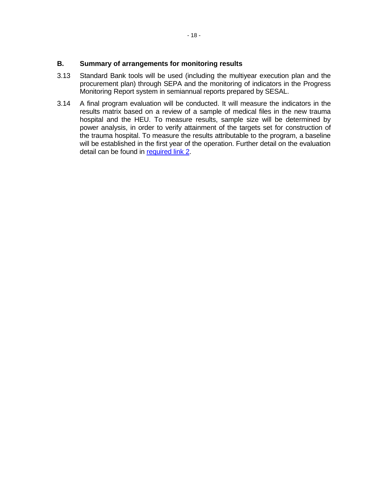- 3.13 Standard Bank tools will be used (including the multiyear execution plan and the procurement plan) through SEPA and the monitoring of indicators in the Progress Monitoring Report system in semiannual reports prepared by SESAL.
- 3.14 A final program evaluation will be conducted. It will measure the indicators in the results matrix based on a review of a sample of medical files in the new trauma hospital and the HEU. To measure results, sample size will be determined by power analysis, in order to verify attainment of the targets set for construction of the trauma hospital. To measure the results attributable to the program, a baseline will be established in the first year of the operation. Further detail on the evaluation detail can be found in [required link 2.](http://idbdocs.iadb.org/wsdocs/getDocument.aspx?DOCNUM=EZSHARE-527553098-45)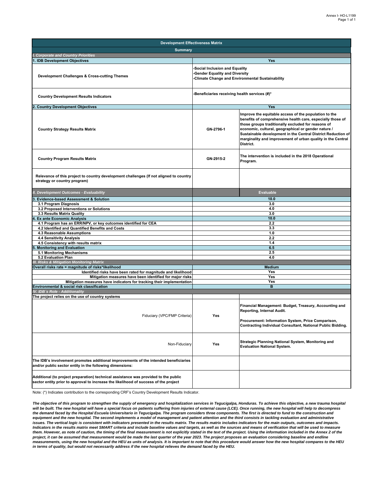| <b>Development Effectiveness Matrix</b>                                                                                                                                     |                                                                                                                           |                                                                                                                                                                                                                                                                                                                                                                              |  |  |  |  |  |
|-----------------------------------------------------------------------------------------------------------------------------------------------------------------------------|---------------------------------------------------------------------------------------------------------------------------|------------------------------------------------------------------------------------------------------------------------------------------------------------------------------------------------------------------------------------------------------------------------------------------------------------------------------------------------------------------------------|--|--|--|--|--|
| <b>Summary</b>                                                                                                                                                              |                                                                                                                           |                                                                                                                                                                                                                                                                                                                                                                              |  |  |  |  |  |
| <b>Corporate and Country Priorities</b>                                                                                                                                     |                                                                                                                           |                                                                                                                                                                                                                                                                                                                                                                              |  |  |  |  |  |
| 1. IDB Development Objectives                                                                                                                                               |                                                                                                                           | Yes                                                                                                                                                                                                                                                                                                                                                                          |  |  |  |  |  |
| Development Challenges & Cross-cutting Themes                                                                                                                               | Social Inclusion and Equality<br><b>Gender Equality and Diversity</b><br>-Climate Change and Environmental Sustainability |                                                                                                                                                                                                                                                                                                                                                                              |  |  |  |  |  |
| <b>Country Development Results Indicators</b>                                                                                                                               | -Beneficiaries receiving health services (#)*                                                                             |                                                                                                                                                                                                                                                                                                                                                                              |  |  |  |  |  |
| <b>Country Development Objectives</b>                                                                                                                                       |                                                                                                                           | Yes                                                                                                                                                                                                                                                                                                                                                                          |  |  |  |  |  |
| <b>Country Strategy Results Matrix</b>                                                                                                                                      | GN-2796-1                                                                                                                 | Improve the equitable access of the population to the<br>benefits of comprehensive health care, especially those of<br>those groups traditionally excluded for reasons of<br>economic, cultural, geographical or gender nature /<br>Sustainable development in the Central District Reduction of<br>marginality and improvement of urban quality in the Central<br>District. |  |  |  |  |  |
| <b>Country Program Results Matrix</b>                                                                                                                                       | GN-2915-2                                                                                                                 | The intervention is included in the 2018 Operational<br>Program.                                                                                                                                                                                                                                                                                                             |  |  |  |  |  |
| Relevance of this project to country development challenges (If not aligned to country<br>strategy or country program)                                                      |                                                                                                                           |                                                                                                                                                                                                                                                                                                                                                                              |  |  |  |  |  |
| II. Development Outcomes - Evaluability                                                                                                                                     |                                                                                                                           | <b>Evaluable</b>                                                                                                                                                                                                                                                                                                                                                             |  |  |  |  |  |
| Evidence-based Assessment & Solution<br>3                                                                                                                                   |                                                                                                                           | 10.0                                                                                                                                                                                                                                                                                                                                                                         |  |  |  |  |  |
| 3.1 Program Diagnosis<br>3.2 Proposed Interventions or Solutions                                                                                                            |                                                                                                                           | 3.0                                                                                                                                                                                                                                                                                                                                                                          |  |  |  |  |  |
| 3.3 Results Matrix Quality                                                                                                                                                  |                                                                                                                           | 4.0<br>3.0                                                                                                                                                                                                                                                                                                                                                                   |  |  |  |  |  |
| <b>Ex ante Economic Analysis</b>                                                                                                                                            |                                                                                                                           | 10.0                                                                                                                                                                                                                                                                                                                                                                         |  |  |  |  |  |
| 4.1 Program has an ERR/NPV, or key outcomes identified for CEA                                                                                                              |                                                                                                                           | 2.2                                                                                                                                                                                                                                                                                                                                                                          |  |  |  |  |  |
| 4.2 Identified and Quantified Benefits and Costs                                                                                                                            |                                                                                                                           | 3.3                                                                                                                                                                                                                                                                                                                                                                          |  |  |  |  |  |
| 4.3 Reasonable Assumptions                                                                                                                                                  |                                                                                                                           | 1.0                                                                                                                                                                                                                                                                                                                                                                          |  |  |  |  |  |
| 4.4 Sensitivity Analysis                                                                                                                                                    |                                                                                                                           | 2.2                                                                                                                                                                                                                                                                                                                                                                          |  |  |  |  |  |
| 4.5 Consistency with results matrix                                                                                                                                         |                                                                                                                           | 1.4                                                                                                                                                                                                                                                                                                                                                                          |  |  |  |  |  |
| <b>Monitoring and Evaluation</b>                                                                                                                                            |                                                                                                                           | 6.5<br>2.5                                                                                                                                                                                                                                                                                                                                                                   |  |  |  |  |  |
| 5.1 Monitoring Mechanisms<br>5.2 Evaluation Plan                                                                                                                            |                                                                                                                           | 4.0                                                                                                                                                                                                                                                                                                                                                                          |  |  |  |  |  |
| <b>III. Risks &amp; Mitigation Monitoring Matrix</b>                                                                                                                        |                                                                                                                           |                                                                                                                                                                                                                                                                                                                                                                              |  |  |  |  |  |
| Overall risks rate = magnitude of risks*likelihood                                                                                                                          |                                                                                                                           | <b>Medium</b>                                                                                                                                                                                                                                                                                                                                                                |  |  |  |  |  |
| Identified risks have been rated for magnitude and likelihood                                                                                                               | Yes                                                                                                                       |                                                                                                                                                                                                                                                                                                                                                                              |  |  |  |  |  |
| Mitigation measures have been identified for major risks                                                                                                                    |                                                                                                                           | Yes                                                                                                                                                                                                                                                                                                                                                                          |  |  |  |  |  |
| Mitigation measures have indicators for tracking their implementation                                                                                                       | Yes                                                                                                                       |                                                                                                                                                                                                                                                                                                                                                                              |  |  |  |  |  |
| Environmental & social risk classification<br>IV. IDB's Role - Additionality                                                                                                |                                                                                                                           | B                                                                                                                                                                                                                                                                                                                                                                            |  |  |  |  |  |
| The project relies on the use of country systems                                                                                                                            |                                                                                                                           |                                                                                                                                                                                                                                                                                                                                                                              |  |  |  |  |  |
| Fiduciary (VPC/FMP Criteria)                                                                                                                                                | Yes                                                                                                                       | Financial Management: Budget, Treasury, Accounting and<br>Reporting, Internal Audit.<br>Procurement: Information System, Price Comparison,<br>Contracting Individual Consultant, National Public Bidding.                                                                                                                                                                    |  |  |  |  |  |
| Non-Fiduciary                                                                                                                                                               | Yes                                                                                                                       | Strategic Planning National System, Monitoring and<br><b>Evaluation National System.</b>                                                                                                                                                                                                                                                                                     |  |  |  |  |  |
| The IDB's involvement promotes additional improvements of the intended beneficiaries<br>and/or public sector entity in the following dimensions:                            |                                                                                                                           |                                                                                                                                                                                                                                                                                                                                                                              |  |  |  |  |  |
| Additional (to project preparation) technical assistance was provided to the public<br>sector entity prior to approval to increase the likelihood of success of the project |                                                                                                                           |                                                                                                                                                                                                                                                                                                                                                                              |  |  |  |  |  |

Note: (\*) Indicates contribution to the corresponding CRF's Country Development Results Indicator.

*The objective of this program to strengthen the supply of emergency and hospitalization services in Tegucigalpa, Honduras. To achieve this objective, a new trauma hospital will be built. The new hospital will have a special focus on patients suffering from injuries of external cause (LCE). Once running, the new hospital will help to decompress the demand faced by the Hospital Escuela Universitario in Tegucigalpa. The program considers three components. The first is directed to fund to the construction and*  equipment and the new hospital. The second implements a model of management and patient attention and the third consists in tackling evaluation and administrative issues. The vertical logic is consistent with indicators presented in the results matrix. The results matrix includes indicators for the main outputs, outcomes and impacts.<br>Indicators in the results matrix meet SMART crite *them. However, as note of caution, the timing of the final measurement is not explicitly stated in the text of the project. Using the information included in the Annex 2 of the project, it can be assumed that measurement would be made the last quarter of the year 2023. The project proposes an evaluation considering baseline and endline measurements, using the new hospital and the HEU as units of analysis. It is important to note that this procedure would answer how the new hospital compares to the HEU in terms of quality, but would not necessarily address if the new hospital relieves the demand faced by the HEU.*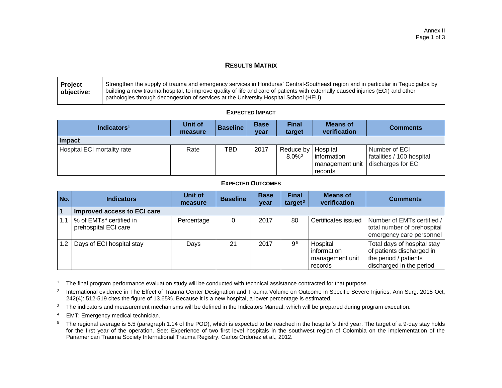### **RESULTS MATRIX**

| Project    | Strengthen the supply of trauma and emergency services in Honduras' Central-Southeast region and in particular in Tegucigalpa by |
|------------|----------------------------------------------------------------------------------------------------------------------------------|
| objective: | building a new trauma hospital, to improve quality of life and care of patients with externally caused injuries (ECI) and other  |
|            | pathologies through decongestion of services at the University Hospital School (HEU).                                            |

#### **EXPECTED IMPACT**

| Indicators <sup>1</sup>     | Unit of<br>measure | <b>Baseline</b> | <b>Base</b><br>year | <b>Final</b><br>target                       | <b>Means of</b><br>verification | <b>Comments</b>                                                                        |
|-----------------------------|--------------------|-----------------|---------------------|----------------------------------------------|---------------------------------|----------------------------------------------------------------------------------------|
| Impact                      |                    |                 |                     |                                              |                                 |                                                                                        |
| Hospital ECI mortality rate | Rate               | TBD             | 2017                | Reduce by   Hospital<br>$8.0\%$ <sup>2</sup> | information<br>records          | l Number of ECI I<br>fatalities / 100 hospital<br>management unit   discharges for ECI |

#### **EXPECTED OUTCOMES**

| No.              | <b>Indicators</b>                                           | Unit of<br>measure | <b>Baseline</b> | <b>Base</b><br>year | <b>Final</b><br>target $3$ | <b>Means of</b><br>verification                       | <b>Comments</b>                                                                                               |
|------------------|-------------------------------------------------------------|--------------------|-----------------|---------------------|----------------------------|-------------------------------------------------------|---------------------------------------------------------------------------------------------------------------|
|                  | Improved access to ECI care                                 |                    |                 |                     |                            |                                                       |                                                                                                               |
| 1.1              | % of EMTs <sup>4</sup> certified in<br>prehospital ECI care | Percentage         |                 | 2017                | 80                         | Certificates issued                                   | Number of EMTs certified /<br>total number of prehospital<br>emergency care personnel                         |
| 1.2 <sub>1</sub> | Days of ECI hospital stay                                   | Days               | 21              | 2017                | 9 <sup>5</sup>             | Hospital<br>information<br>management unit<br>records | Total days of hospital stay<br>of patients discharged in<br>the period / patients<br>discharged in the period |

 <sup>1</sup> The final program performance evaluation study will be conducted with technical assistance contracted for that purpose.

<sup>4</sup> EMT: Emergency medical technician.

<sup>2</sup> International evidence in The Effect of Trauma Center Designation and Trauma Volume on Outcome in Specific Severe Injuries, Ann Surg. 2015 Oct; 242(4): 512-519 cites the figure of 13.65%. Because it is a new hospital, a lower percentage is estimated*.*

<sup>&</sup>lt;sup>3</sup> The indicators and measurement mechanisms will be defined in the Indicators Manual, which will be prepared during program execution.

<sup>&</sup>lt;sup>5</sup> The regional average is 5.5 (paragraph 1.14 of the POD), which is expected to be reached in the hospital's third year. The target of a 9-day stay holds for the first year of the operation. See: Experience of two first level hospitals in the southwest region of Colombia on the implementation of the Panamerican Trauma Society International Trauma Registry. Carlos Ordoñez et al., 2012.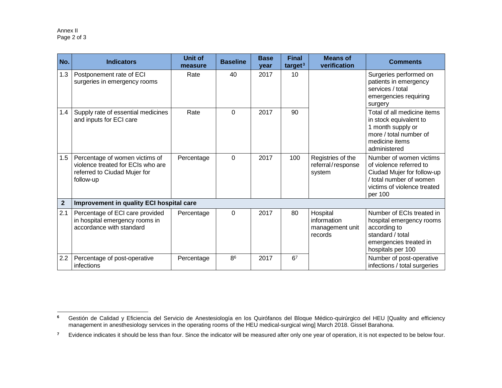| No.            | <b>Indicators</b>                                                                                                | <b>Unit of</b><br>measure | <b>Baseline</b> | <b>Base</b><br>year | <b>Final</b><br>target <sup>3</sup> | <b>Means of</b><br>verification                       | <b>Comments</b>                                                                                                                                       |
|----------------|------------------------------------------------------------------------------------------------------------------|---------------------------|-----------------|---------------------|-------------------------------------|-------------------------------------------------------|-------------------------------------------------------------------------------------------------------------------------------------------------------|
| 1.3            | Postponement rate of ECI<br>surgeries in emergency rooms                                                         | Rate                      | 40              | 2017                | 10                                  |                                                       | Surgeries performed on<br>patients in emergency<br>services / total<br>emergencies requiring<br>surgery                                               |
| 1.4            | Supply rate of essential medicines<br>and inputs for ECI care                                                    | Rate                      | 0               | 2017                | 90                                  |                                                       | Total of all medicine items<br>in stock equivalent to<br>1 month supply or<br>more / total number of<br>medicine items<br>administered                |
| 1.5            | Percentage of women victims of<br>violence treated for ECIs who are<br>referred to Ciudad Mujer for<br>follow-up | Percentage                | $\mathbf 0$     | 2017                | 100                                 | Registries of the<br>referral/response<br>system      | Number of women victims<br>of violence referred to<br>Ciudad Mujer for follow-up<br>/ total number of women<br>victims of violence treated<br>per 100 |
| $\overline{2}$ | Improvement in quality ECI hospital care                                                                         |                           |                 |                     |                                     |                                                       |                                                                                                                                                       |
| 2.1            | Percentage of ECI care provided<br>in hospital emergency rooms in<br>accordance with standard                    | Percentage                | $\Omega$        | 2017                | 80                                  | Hospital<br>information<br>management unit<br>records | Number of ECIs treated in<br>hospital emergency rooms<br>according to<br>standard / total<br>emergencies treated in<br>hospitals per 100              |
| 2.2            | Percentage of post-operative<br>infections                                                                       | Percentage                | R <sup>6</sup>  | 2017                | 6 <sup>7</sup>                      |                                                       | Number of post-operative<br>infections / total surgeries                                                                                              |

 $\bf 6$ **<sup>6</sup>** Gestión de Calidad y Eficiencia del Servicio de Anestesiología en los Quirófanos del Bloque Médico-quirúrgico del HEU [Quality and efficiency management in anesthesiology services in the operating rooms of the HEU medical-surgical wing] March 2018. Gissel Barahona.

<sup>&</sup>lt;sup>7</sup> Evidence indicates it should be less than four. Since the indicator will be measured after only one year of operation, it is not expected to be below four.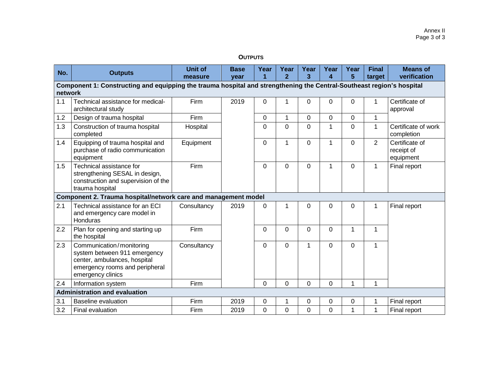#### **OUTPUTS**

| No.                                                                                                                              | <b>Outputs</b>                                                                                                                                  | <b>Unit of</b><br>measure | <b>Base</b><br>year | Year           | Year<br>$\overline{2}$ | Year<br>3 | Year<br>$\boldsymbol{\Lambda}$ | Year<br>5 | <b>Final</b><br>target | <b>Means of</b><br>verification           |
|----------------------------------------------------------------------------------------------------------------------------------|-------------------------------------------------------------------------------------------------------------------------------------------------|---------------------------|---------------------|----------------|------------------------|-----------|--------------------------------|-----------|------------------------|-------------------------------------------|
| Component 1: Constructing and equipping the trauma hospital and strengthening the Central-Southeast region's hospital<br>network |                                                                                                                                                 |                           |                     |                |                        |           |                                |           |                        |                                           |
| 1.1                                                                                                                              | Technical assistance for medical-<br>architectural study                                                                                        | Firm                      | 2019                | 0              | 1                      | 0         | $\Omega$                       | $\Omega$  |                        | Certificate of<br>approval                |
| 1.2                                                                                                                              | Design of trauma hospital                                                                                                                       | <b>Firm</b>               |                     | 0              | $\mathbf 1$            | 0         | $\Omega$                       | $\Omega$  | 1                      |                                           |
| 1.3                                                                                                                              | Construction of trauma hospital<br>completed                                                                                                    | Hospital                  |                     | $\overline{0}$ | $\overline{0}$         | 0         | 1                              | $\Omega$  | 1                      | Certificate of work<br>completion         |
| 1.4                                                                                                                              | Equipping of trauma hospital and<br>purchase of radio communication<br>equipment                                                                | Equipment                 |                     | $\mathbf 0$    | $\mathbf{1}$           | 0         | 1                              | $\Omega$  | $\overline{2}$         | Certificate of<br>receipt of<br>equipment |
| 1.5                                                                                                                              | Technical assistance for<br>strengthening SESAL in design,<br>construction and supervision of the<br>trauma hospital                            | Firm                      |                     | $\Omega$       | $\Omega$               | 0         | 1                              | $\Omega$  | 1                      | Final report                              |
|                                                                                                                                  | Component 2. Trauma hospital/network care and management model                                                                                  |                           |                     |                |                        |           |                                |           |                        |                                           |
| 2.1                                                                                                                              | Technical assistance for an ECI<br>and emergency care model in<br>Honduras                                                                      | Consultancy               | 2019                | 0              | 1                      | 0         | $\Omega$                       | $\Omega$  | 1                      | Final report                              |
| 2.2                                                                                                                              | Plan for opening and starting up<br>the hospital                                                                                                | Firm                      |                     | $\Omega$       | $\Omega$               | 0         | $\Omega$                       |           | 1                      |                                           |
| 2.3                                                                                                                              | Communication/monitoring<br>system between 911 emergency<br>center, ambulances, hospital<br>emergency rooms and peripheral<br>emergency clinics | Consultancy               |                     | $\Omega$       | $\mathbf 0$            | 1         | $\Omega$                       | $\Omega$  | 1                      |                                           |
| 2.4                                                                                                                              | Information system                                                                                                                              | <b>Firm</b>               |                     | $\mathbf 0$    | 0                      | 0         | $\mathbf 0$                    |           | 1                      |                                           |
| <b>Administration and evaluation</b>                                                                                             |                                                                                                                                                 |                           |                     |                |                        |           |                                |           |                        |                                           |
| 3.1                                                                                                                              | Baseline evaluation                                                                                                                             | Firm                      | 2019                | $\mathbf 0$    | 1                      | 0         | $\Omega$                       | 0         |                        | Final report                              |
| 3.2                                                                                                                              | Final evaluation                                                                                                                                | Firm                      | 2019                | $\mathbf 0$    | 0                      | 0         | $\Omega$                       |           |                        | Final report                              |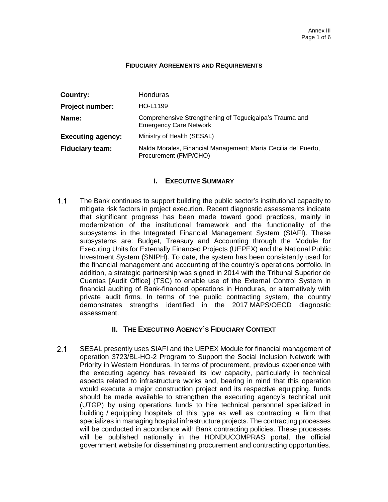#### **FIDUCIARY AGREEMENTS AND REQUIREMENTS**

| Country:                 | Honduras                                                                                 |  |  |  |  |
|--------------------------|------------------------------------------------------------------------------------------|--|--|--|--|
| <b>Project number:</b>   | HO-L1199                                                                                 |  |  |  |  |
| Name:                    | Comprehensive Strengthening of Tegucigalpa's Trauma and<br><b>Emergency Care Network</b> |  |  |  |  |
| <b>Executing agency:</b> | Ministry of Health (SESAL)                                                               |  |  |  |  |
| <b>Fiduciary team:</b>   | Nalda Morales, Financial Management; María Cecilia del Puerto,<br>Procurement (FMP/CHO)  |  |  |  |  |

### **I. EXECUTIVE SUMMARY**

 $1.1$ The Bank continues to support building the public sector's institutional capacity to mitigate risk factors in project execution. Recent diagnostic assessments indicate that significant progress has been made toward good practices, mainly in modernization of the institutional framework and the functionality of the subsystems in the Integrated Financial Management System (SIAFI). These subsystems are: Budget, Treasury and Accounting through the Module for Executing Units for Externally Financed Projects (UEPEX) and the National Public Investment System (SNIPH). To date, the system has been consistently used for the financial management and accounting of the country's operations portfolio. In addition, a strategic partnership was signed in 2014 with the Tribunal Superior de Cuentas [Audit Office] (TSC) to enable use of the External Control System in financial auditing of Bank-financed operations in Honduras, or alternatively with private audit firms. In terms of the public contracting system, the country demonstrates strengths identified in the 2017 MAPS/OECD diagnostic assessment.

## **II. THE EXECUTING AGENCY'S FIDUCIARY CONTEXT**

 $2.1$ SESAL presently uses SIAFI and the UEPEX Module for financial management of operation 3723/BL-HO-2 Program to Support the Social Inclusion Network with Priority in Western Honduras. In terms of procurement, previous experience with the executing agency has revealed its low capacity, particularly in technical aspects related to infrastructure works and, bearing in mind that this operation would execute a major construction project and its respective equipping, funds should be made available to strengthen the executing agency's technical unit (UTGP) by using operations funds to hire technical personnel specialized in building / equipping hospitals of this type as well as contracting a firm that specializes in managing hospital infrastructure projects. The contracting processes will be conducted in accordance with Bank contracting policies. These processes will be published nationally in the HONDUCOMPRAS portal, the official government website for disseminating procurement and contracting opportunities.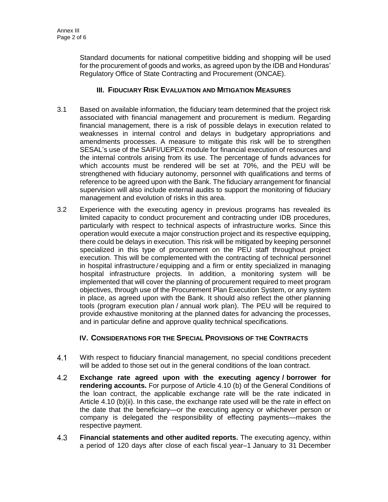Standard documents for national competitive bidding and shopping will be used for the procurement of goods and works, as agreed upon by the IDB and Honduras' Regulatory Office of State Contracting and Procurement (ONCAE).

## **III. FIDUCIARY RISK EVALUATION AND MITIGATION MEASURES**

- 3.1 Based on available information, the fiduciary team determined that the project risk associated with financial management and procurement is medium. Regarding financial management, there is a risk of possible delays in execution related to weaknesses in internal control and delays in budgetary appropriations and amendments processes. A measure to mitigate this risk will be to strengthen SESAL's use of the SAIFI/UEPEX module for financial execution of resources and the internal controls arising from its use. The percentage of funds advances for which accounts must be rendered will be set at 70%, and the PEU will be strengthened with fiduciary autonomy, personnel with qualifications and terms of reference to be agreed upon with the Bank. The fiduciary arrangement for financial supervision will also include external audits to support the monitoring of fiduciary management and evolution of risks in this area.
- 3.2 Experience with the executing agency in previous programs has revealed its limited capacity to conduct procurement and contracting under IDB procedures, particularly with respect to technical aspects of infrastructure works. Since this operation would execute a major construction project and its respective equipping, there could be delays in execution. This risk will be mitigated by keeping personnel specialized in this type of procurement on the PEU staff throughout project execution. This will be complemented with the contracting of technical personnel in hospital infrastructure / equipping and a firm or entity specialized in managing hospital infrastructure projects. In addition, a monitoring system will be implemented that will cover the planning of procurement required to meet program objectives, through use of the Procurement Plan Execution System, or any system in place, as agreed upon with the Bank. It should also reflect the other planning tools (program execution plan / annual work plan). The PEU will be required to provide exhaustive monitoring at the planned dates for advancing the processes, and in particular define and approve quality technical specifications.

## **IV. CONSIDERATIONS FOR THE SPECIAL PROVISIONS OF THE CONTRACTS**

- $4.1$ With respect to fiduciary financial management, no special conditions precedent will be added to those set out in the general conditions of the loan contract.
- $4.2$ **Exchange rate agreed upon with the executing agency / borrower for rendering accounts.** For purpose of Article 4.10 (b) of the General Conditions of the loan contract, the applicable exchange rate will be the rate indicated in Article 4.10 (b)(ii). In this case, the exchange rate used will be the rate in effect on the date that the beneficiary—or the executing agency or whichever person or company is delegated the responsibility of effecting payments—makes the respective payment.
- $4.3$ **Financial statements and other audited reports.** The executing agency, within a period of 120 days after close of each fiscal year–1 January to 31 December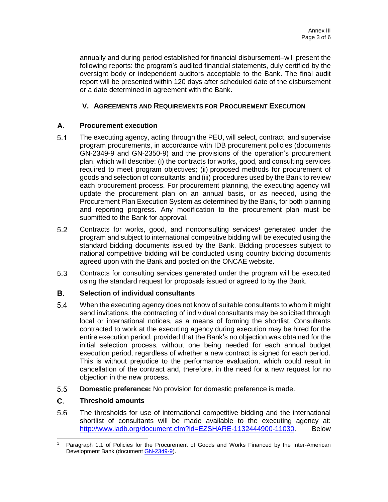annually and during period established for financial disbursement–will present the following reports: the program's audited financial statements, duly certified by the oversight body or independent auditors acceptable to the Bank. The final audit report will be presented within 120 days after scheduled date of the disbursement or a date determined in agreement with the Bank.

## **V. AGREEMENTS AND REQUIREMENTS FOR PROCUREMENT EXECUTION**

#### A. **Procurement execution**

- $5<sub>1</sub>$ The executing agency, acting through the PEU, will select, contract, and supervise program procurements, in accordance with IDB procurement policies (documents GN-2349-9 and GN-2350-9) and the provisions of the operation's procurement plan, which will describe: (i) the contracts for works, good, and consulting services required to meet program objectives; (ii) proposed methods for procurement of goods and selection of consultants; and (iii) procedures used by the Bank to review each procurement process. For procurement planning, the executing agency will update the procurement plan on an annual basis, or as needed, using the Procurement Plan Execution System as determined by the Bank, for both planning and reporting progress. Any modification to the procurement plan must be submitted to the Bank for approval.
- $5.2$ Contracts for works, good, and nonconsulting services**<sup>1</sup>** generated under the program and subject to international competitive bidding will be executed using the standard bidding documents issued by the Bank. Bidding processes subject to national competitive bidding will be conducted using country bidding documents agreed upon with the Bank and posted on the ONCAE website.
- 5.3 Contracts for consulting services generated under the program will be executed using the standard request for proposals issued or agreed to by the Bank.

#### В. **Selection of individual consultants**

- $5.4$ When the executing agency does not know of suitable consultants to whom it might send invitations, the contracting of individual consultants may be solicited through local or international notices, as a means of forming the shortlist. Consultants contracted to work at the executing agency during execution may be hired for the entire execution period, provided that the Bank's no objection was obtained for the initial selection process, without one being needed for each annual budget execution period, regardless of whether a new contract is signed for each period. This is without prejudice to the performance evaluation, which could result in cancellation of the contract and, therefore, in the need for a new request for no objection in the new process.
- $5.5$ **Domestic preference:** No provision for domestic preference is made.

#### C. **Threshold amounts**

5.6 The thresholds for use of international competitive bidding and the international shortlist of consultants will be made available to the executing agency at: http://www.iadb.org/document.cfm?id=EZSHARE-1132444900-11030. Below

 $\overline{a}$ Paragraph 1.1 of Policies for the Procurement of Goods and Works Financed by the Inter-American Development Bank (document **GN-2349-9**).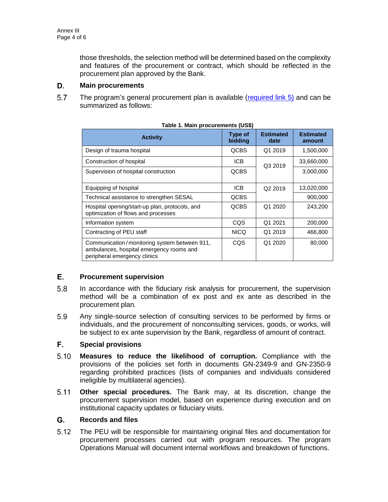those thresholds, the selection method will be determined based on the complexity and features of the procurement or contract, which should be reflected in the procurement plan approved by the Bank.

#### D. **Main procurements**

 $5.7$ The program's general procurement plan is available [\(required](http://idbdocs.iadb.org/wsdocs/getDocument.aspx?DOCNUM=EZSHARE-527553098-42) link 5) and can be summarized as follows:

| Table 1. Mail procurements (000)                                                                                         |                    |                          |                            |  |  |  |  |  |  |
|--------------------------------------------------------------------------------------------------------------------------|--------------------|--------------------------|----------------------------|--|--|--|--|--|--|
| <b>Activity</b>                                                                                                          | Type of<br>bidding | <b>Estimated</b><br>date | <b>Estimated</b><br>amount |  |  |  |  |  |  |
| Design of trauma hospital                                                                                                | <b>QCBS</b>        | Q1 2019                  | 1,500,000                  |  |  |  |  |  |  |
| Construction of hospital                                                                                                 | ICB                | Q3 2019                  | 33,660,000                 |  |  |  |  |  |  |
| Supervision of hospital construction                                                                                     | <b>QCBS</b>        |                          | 3,000,000                  |  |  |  |  |  |  |
| Equipping of hospital                                                                                                    | <b>ICB</b>         | Q <sub>2</sub> 2019      | 13,020,000                 |  |  |  |  |  |  |
| Technical assistance to strengthen SESAL                                                                                 | <b>QCBS</b>        |                          | 900,000                    |  |  |  |  |  |  |
| Hospital opening/start-up plan, protocols, and<br>optimization of flows and processes                                    | <b>QCBS</b>        | Q1 2020                  | 243,200                    |  |  |  |  |  |  |
| Information system                                                                                                       | CQS                | Q1 2021                  | 200,000                    |  |  |  |  |  |  |
| Contracting of PEU staff                                                                                                 | <b>NICQ</b>        | Q1 2019                  | 466,800                    |  |  |  |  |  |  |
| Communication/monitoring system between 911,<br>ambulances, hospital emergency rooms and<br>peripheral emergency clinics | <b>CQS</b>         | Q1 2020                  | 80,000                     |  |  |  |  |  |  |

#### Е. **Procurement supervision**

- 5.8 In accordance with the fiduciary risk analysis for procurement, the supervision method will be a combination of ex post and ex ante as described in the procurement plan*.*
- 5.9 Any single-source selection of consulting services to be performed by firms or individuals, and the procurement of nonconsulting services, goods, or works, will be subject to ex ante supervision by the Bank, regardless of amount of contract.

#### F. **Special provisions**

- $5.10$ **Measures to reduce the likelihood of corruption.** Compliance with the provisions of the policies set forth in documents GN-2349-9 and GN-2350-9 regarding prohibited practices (lists of companies and individuals considered ineligible by multilateral agencies).
- $5.11$ **Other special procedures.** The Bank may, at its discretion, change the procurement supervision model, based on experience during execution and on institutional capacity updates or fiduciary visits.

#### G. **Records and files**

 $5.12$ The PEU will be responsible for maintaining original files and documentation for procurement processes carried out with program resources. The program Operations Manual will document internal workflows and breakdown of functions.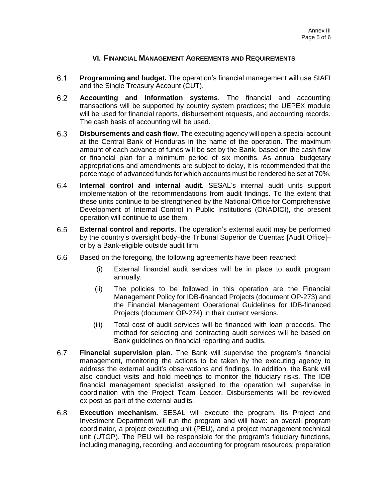## **VI. FINANCIAL MANAGEMENT AGREEMENTS AND REQUIREMENTS**

- $6.1$ **Programming and budget.** The operation's financial management will use SIAFI and the Single Treasury Account (CUT).
- $6.2$ **Accounting and information systems**. The financial and accounting transactions will be supported by country system practices; the UEPEX module will be used for financial reports, disbursement requests, and accounting records. The cash basis of accounting will be used.
- **Disbursements and cash flow.** The executing agency will open a special account  $6.3$ at the Central Bank of Honduras in the name of the operation. The maximum amount of each advance of funds will be set by the Bank, based on the cash flow or financial plan for a minimum period of six months. As annual budgetary appropriations and amendments are subject to delay, it is recommended that the percentage of advanced funds for which accounts must be rendered be set at 70%.
- $6.4$ **Internal control and internal audit.** SESAL's internal audit units support implementation of the recommendations from audit findings. To the extent that these units continue to be strengthened by the National Office for Comprehensive Development of Internal Control in Public Institutions (ONADICI), the present operation will continue to use them.
- $6.5$ **External control and reports.** The operation's external audit may be performed by the country's oversight body–the Tribunal Superior de Cuentas [Audit Office]– or by a Bank-eligible outside audit firm.
- $6.6$ Based on the foregoing, the following agreements have been reached:
	- (i) External financial audit services will be in place to audit program annually.
	- (ii) The policies to be followed in this operation are the Financial Management Policy for IDB-financed Projects (document OP-273) and the Financial Management Operational Guidelines for IDB-financed Projects (document OP-274) in their current versions.
	- (iii) Total cost of audit services will be financed with loan proceeds. The method for selecting and contracting audit services will be based on Bank guidelines on financial reporting and audits.
- $6.7$ **Financial supervision plan**. The Bank will supervise the program's financial management, monitoring the actions to be taken by the executing agency to address the external audit's observations and findings. In addition, the Bank will also conduct visits and hold meetings to monitor the fiduciary risks. The IDB financial management specialist assigned to the operation will supervise in coordination with the Project Team Leader. Disbursements will be reviewed ex post as part of the external audits.
- $6.8$ **Execution mechanism.** SESAL will execute the program. Its Project and Investment Department will run the program and will have: an overall program coordinator, a project executing unit (PEU), and a project management technical unit (UTGP). The PEU will be responsible for the program's fiduciary functions, including managing, recording, and accounting for program resources; preparation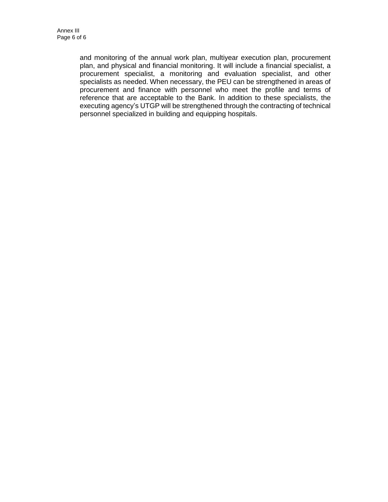and monitoring of the annual work plan, multiyear execution plan, procurement plan, and physical and financial monitoring. It will include a financial specialist, a procurement specialist, a monitoring and evaluation specialist, and other specialists as needed. When necessary, the PEU can be strengthened in areas of procurement and finance with personnel who meet the profile and terms of reference that are acceptable to the Bank. In addition to these specialists, the executing agency's UTGP will be strengthened through the contracting of technical personnel specialized in building and equipping hospitals.